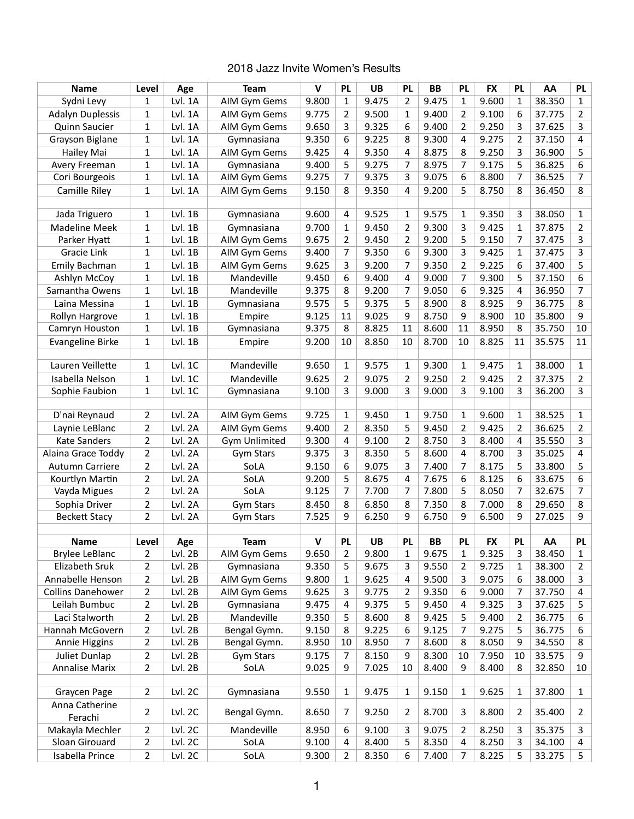## 2018 Jazz Invite Women's Results

| <b>Name</b>                          | Level          | Age            | <b>Team</b>                 | $\mathsf{v}$ | <b>PL</b>      | <b>UB</b>          | <b>PL</b>      | <b>BB</b>   | <b>PL</b>      | <b>FX</b>          | <b>PL</b>    | AA           | <b>PL</b>    |
|--------------------------------------|----------------|----------------|-----------------------------|--------------|----------------|--------------------|----------------|-------------|----------------|--------------------|--------------|--------------|--------------|
| Sydni Levy                           | 1              | Lvl. 1A        | AIM Gym Gems                | 9.800        | $\mathbf{1}$   | 9.475              | $\overline{2}$ | 9.475       | $\mathbf{1}$   | 9.600              | $\mathbf{1}$ | 38.350       | 1            |
| <b>Adalyn Duplessis</b>              | 1              | Lvl. 1A        | AIM Gym Gems                | 9.775        | 2              | 9.500              | 1              | 9.400       | $\overline{2}$ | 9.100              | 6            | 37.775       | 2            |
| <b>Quinn Saucier</b>                 | 1              | Lvl. 1A        | AIM Gym Gems                | 9.650        | 3              | 9.325              | 6              | 9.400       | $\overline{2}$ | 9.250              | 3            | 37.625       | 3            |
| Grayson Biglane                      | 1              | Lvl. 1A        | Gymnasiana                  | 9.350        | 6              | 9.225              | 8              | 9.300       | 4              | 9.275              | 2            | 37.150       | 4            |
| Hailey Mai                           | 1              | Lvl. 1A        | AIM Gym Gems                | 9.425        | 4              | 9.350              | $\overline{4}$ | 8.875       | 8              | 9.250              | 3            | 36.900       | 5            |
| Avery Freeman                        | $\mathbf 1$    | Lvl. 1A        | Gymnasiana                  | 9.400        | 5              | 9.275              | 7              | 8.975       | 7              | 9.175              | 5            | 36.825       | 6            |
| Cori Bourgeois                       | 1              | Lvl. 1A        | AIM Gym Gems                | 9.275        | 7              | 9.375              | 3              | 9.075       | 6              | 8.800              | 7            | 36.525       | 7            |
| Camille Riley                        | 1              | Lvl. 1A        | AIM Gym Gems                | 9.150        | 8              | 9.350              | 4              | 9.200       | 5              | 8.750              | 8            | 36.450       | 8            |
|                                      |                |                |                             |              |                |                    |                |             |                |                    |              |              |              |
| Jada Triguero                        | 1              | Lvl. 1B        | Gymnasiana                  | 9.600        | 4              | 9.525              | 1              | 9.575       | 1              | 9.350              | 3            | 38.050       | 1            |
| <b>Madeline Meek</b>                 | 1              | Lvl. 1B        | Gymnasiana                  | 9.700        | 1              | 9.450              | 2              | 9.300       | 3              | 9.425              | 1            | 37.875       | 2            |
| Parker Hyatt                         | 1              | Lvl. 1B        | AIM Gym Gems                | 9.675        | 2              | 9.450              | 2              | 9.200       | 5              | 9.150              | 7            | 37.475       | 3            |
| Gracie Link                          | 1              | $Lvl.$ 1B      | AIM Gym Gems                | 9.400        | 7              | 9.350              | 6              | 9.300       | 3              | 9.425              | 1            | 37.475       | 3            |
| Emily Bachman                        | 1              | $Lvl.$ 1B      | AIM Gym Gems                | 9.625        | 3              | 9.200              | 7              | 9.350       | $\overline{2}$ | 9.225              | 6            | 37.400       | 5            |
| Ashlyn McCoy                         | 1              | $Lvl.$ 1B      | Mandeville                  | 9.450        | 6              | 9.400              | $\overline{4}$ | 9.000       | $\overline{7}$ | 9.300              | 5            | 37.150       | 6            |
| Samantha Owens                       | 1              | $Lvl.$ 1B      | Mandeville                  | 9.375        | 8              | 9.200              | 7              | 9.050       | 6              | 9.325              | 4            | 36.950       | 7            |
| Laina Messina                        | 1              | Lvl.1B         | Gymnasiana                  | 9.575        | 5              | 9.375              | 5              | 8.900       | 8              | 8.925              | 9            | 36.775       | 8            |
| Rollyn Hargrove                      | 1              | $Lvl.$ 1B      | Empire                      | 9.125        | 11             | 9.025              | 9              | 8.750       | 9              | 8.900              | 10           | 35.800       | 9            |
| Camryn Houston                       | 1              | $Lvl.$ 1B      | Gymnasiana                  | 9.375        | 8              | 8.825              | 11             | 8.600       | 11             | 8.950              | 8            | 35.750       | 10           |
| <b>Evangeline Birke</b>              | $\mathbf{1}$   | $Lvl.$ 1B      | Empire                      | 9.200        | 10             | 8.850              | 10             | 8.700       | 10             | 8.825              | 11           | 35.575       | 11           |
|                                      |                |                |                             |              |                |                    |                |             |                |                    |              |              |              |
| Lauren Veillette                     | 1              | Lvl. 1C        | Mandeville                  | 9.650        | 1              | 9.575              | 1              | 9.300       | 1              | 9.475              | 1            | 38.000       | 1            |
| Isabella Nelson                      | 1              | Lvl. 1C        | Mandeville                  | 9.625        | 2              | 9.075              | 2              | 9.250       | 2              | 9.425              | 2            | 37.375       | 2            |
| Sophie Faubion                       | 1              | Lvl. 1C        | Gymnasiana                  | 9.100        | 3              | 9.000              | 3              | 9.000       | 3              | 9.100              | 3            | 36.200       | 3            |
|                                      |                |                |                             |              |                |                    |                |             |                |                    |              |              |              |
| D'nai Reynaud                        | $\overline{2}$ | Lvl. 2A        | AIM Gym Gems                | 9.725        | $\mathbf 1$    | 9.450              | $\mathbf{1}$   | 9.750       | $\mathbf{1}$   | 9.600              | $\mathbf{1}$ | 38.525       | $\mathbf{1}$ |
| Laynie LeBlanc                       | 2              | Lvl. 2A        | AIM Gym Gems                | 9.400        | 2              | 8.350              | 5              | 9.450       | $\overline{2}$ | 9.425              | 2            | 36.625       | 2            |
| <b>Kate Sanders</b>                  | $\overline{2}$ | Lvl. 2A        | <b>Gym Unlimited</b>        | 9.300        | 4              | 9.100              | $\overline{2}$ | 8.750       | 3              | 8.400              | 4            | 35.550       | 3            |
| Alaina Grace Toddy                   | 2              | Lvl. 2A        | <b>Gym Stars</b>            | 9.375        | 3              | 8.350              | 5              | 8.600       | 4              | 8.700              | 3            | 35.025       | 4            |
| <b>Autumn Carriere</b>               | $\overline{2}$ | Lvl. 2A        | SoLA                        | 9.150        | 6              | 9.075              | 3              | 7.400       | 7              | 8.175              | 5            | 33.800       | 5            |
| Kourtlyn Martin                      | 2              | Lvl. 2A        | SoLA                        | 9.200        | 5              | 8.675              | $\overline{4}$ | 7.675       | 6              | 8.125              | 6            | 33.675       | 6            |
| Vayda Migues                         | 2              | Lvl. 2A        | SoLA                        | 9.125        | 7              | 7.700              | 7              | 7.800       | 5              | 8.050              | 7            | 32.675       | 7            |
| Sophia Driver                        | 2              | Lvl. 2A        | <b>Gym Stars</b>            | 8.450        | 8              | 6.850              | 8              | 7.350       | 8              | 7.000              | 8            | 29.650       | 8            |
| <b>Beckett Stacy</b>                 | 2              | Lvl. 2A        | <b>Gym Stars</b>            | 7.525        | 9              | 6.250              | 9              | 6.750       | 9              | 6.500              | 9            | 27.025       | 9            |
|                                      |                |                |                             | $\mathsf{V}$ |                |                    |                |             |                |                    |              |              |              |
| <b>Name</b><br><b>Brylee LeBlanc</b> | Level<br>2     | Age<br>Lvl. 2B | <b>Team</b><br>AIM Gym Gems | 9.650        | <b>PL</b><br>2 | <b>UB</b><br>9.800 | PL             | BB<br>9.675 | <b>PL</b><br>1 | <b>FX</b><br>9.325 | PL<br>3      | AA<br>38.450 | PL           |
| Elizabeth Sruk                       | 2              | Lvl. 2B        | Gymnasiana                  | 9.350        | 5              | 9.675              | 1<br>3         | 9.550       | 2              | 9.725              | 1            | 38.300       | 1<br>2       |
| Annabelle Henson                     | 2              | Lvl. 2B        | AIM Gym Gems                | 9.800        | 1              | 9.625              | 4              | 9.500       | 3              | 9.075              | 6            | 38.000       |              |
| <b>Collins Danehower</b>             | $\overline{2}$ | Lvl. 2B        | AIM Gym Gems                | 9.625        | 3              | 9.775              | $\overline{2}$ | 9.350       | 6              | 9.000              | 7            | 37.750       | 3<br>4       |
| Leilah Bumbuc                        | 2              | Lvl. 2B        | Gymnasiana                  | 9.475        | 4              | 9.375              | 5              | 9.450       | 4              | 9.325              | 3            | 37.625       | 5            |
| Laci Stalworth                       | 2              | Lvl. 2B        | Mandeville                  | 9.350        | 5              | 8.600              | 8              | 9.425       | 5              | 9.400              | 2            | 36.775       | 6            |
| Hannah McGovern                      | 2              | Lvl. 2B        | Bengal Gymn.                | 9.150        | 8              | 9.225              | 6              | 9.125       |                | 9.275              | 5            | 36.775       | 6            |
| Annie Higgins                        | 2              | Lvl. 2B        | Bengal Gymn.                | 8.950        | 10             | 8.950              | 7              | 8.600       | 7<br>8         | 8.050              | 9            | 34.550       | 8            |
| Juliet Dunlap                        | 2              | Lvl. 2B        | <b>Gym Stars</b>            | 9.175        |                | 8.150              |                | 8.300       | 10             | 7.950              | 10           | 33.575       | 9            |
| <b>Annalise Marix</b>                |                |                |                             |              | 7              |                    | 9              |             | 9              |                    |              |              |              |
|                                      | 2              | Lvl. 2B        | SoLA                        | 9.025        | 9              | 7.025              | 10             | 8.400       |                | 8.400              | 8            | 32.850       | 10           |
| Graycen Page                         | 2              | Lvl. 2C        | Gymnasiana                  | 9.550        | 1              | 9.475              | $\mathbf{1}$   | 9.150       | 1              | 9.625              | 1            | 37.800       | $\mathbf{1}$ |
| Anna Catherine                       |                |                |                             |              |                |                    |                |             |                |                    |              |              |              |
| Ferachi                              | $\overline{2}$ | Lvl. 2C        | Bengal Gymn.                | 8.650        | 7              | 9.250              | 2              | 8.700       | 3              | 8.800              | 2            | 35.400       | 2            |
| Makayla Mechler                      | 2              | Lvl. 2C        | Mandeville                  | 8.950        | 6              | 9.100              | 3              | 9.075       | 2              | 8.250              | 3            | 35.375       | 3            |
| Sloan Girouard                       | 2              | Lvl. 2C        | SoLA                        | 9.100        | 4              | 8.400              | 5              | 8.350       | 4              | 8.250              | 3            | 34.100       | 4            |
| Isabella Prince                      | 2              | Lvl. 2C        | SoLA                        | 9.300        | 2              | 8.350              | 6              | 7.400       | 7              | 8.225              | 5            | 33.275       | 5            |
|                                      |                |                |                             |              |                |                    |                |             |                |                    |              |              |              |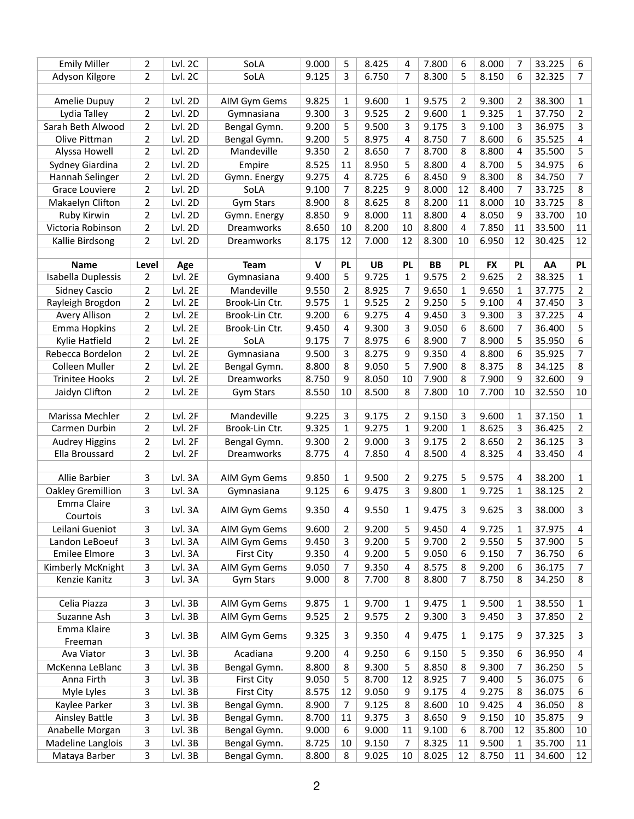| <b>Emily Miller</b>      | 2                                | Lvl. 2C            | SoLA                 | 9.000          | 5              | 8.425          | 4              | 7.800     | 6              | 8.000          | 7              | 33.225           | 6              |
|--------------------------|----------------------------------|--------------------|----------------------|----------------|----------------|----------------|----------------|-----------|----------------|----------------|----------------|------------------|----------------|
| Adyson Kilgore           | $\overline{2}$                   | Lvl. 2C            | SoLA                 | 9.125          | 3              | 6.750          | $\overline{7}$ | 8.300     | 5              | 8.150          | 6              | 32.325           | 7              |
|                          |                                  |                    |                      |                |                |                |                |           |                |                |                |                  |                |
| Amelie Dupuy             | 2                                | Lvl. 2D            | AIM Gym Gems         | 9.825          | 1              | 9.600          | 1              | 9.575     | 2              | 9.300          | 2              | 38.300           | 1              |
| Lydia Talley             | $\overline{2}$                   | Lvl. 2D            | Gymnasiana           | 9.300          | 3              | 9.525          | $\overline{2}$ | 9.600     | 1              | 9.325          | 1              | 37.750           | $\overline{2}$ |
| Sarah Beth Alwood        | $\overline{2}$                   | Lvl. 2D            | Bengal Gymn.         | 9.200          | 5              | 9.500          | 3              | 9.175     | 3              | 9.100          | 3              | 36.975           | 3              |
| Olive Pittman            | $\overline{2}$                   | Lvl. 2D            | Bengal Gymn.         | 9.200          | 5              | 8.975          | 4              | 8.750     | 7              | 8.600          | 6              | 35.525           | 4              |
| Alyssa Howell            | $\overline{2}$                   | Lvl. 2D            | Mandeville           | 9.350          | $\overline{2}$ | 8.650          | 7              | 8.700     | 8              | 8.800          | 4              | 35.500           | 5              |
|                          |                                  |                    |                      |                |                |                |                | 8.800     |                |                |                |                  | 6              |
| Sydney Giardina          | $\overline{2}$<br>$\overline{2}$ | Lvl. 2D<br>Lvl. 2D | Empire               | 8.525<br>9.275 | 11             | 8.950<br>8.725 | 5<br>6         | 8.450     | 4<br>9         | 8.700<br>8.300 | 5<br>8         | 34.975<br>34.750 | 7              |
| Hannah Selinger          | $\overline{2}$                   |                    | Gymn. Energy<br>SoLA |                | 4              |                |                |           | 12             |                | 7              |                  |                |
| <b>Grace Louviere</b>    |                                  | Lvl. 2D            |                      | 9.100          | 7              | 8.225          | 9              | 8.000     |                | 8.400          |                | 33.725           | 8              |
| Makaelyn Clifton         | $\overline{2}$                   | Lvl. 2D            | <b>Gym Stars</b>     | 8.900          | 8              | 8.625          | 8              | 8.200     | 11             | 8.000          | 10             | 33.725           | 8              |
| Ruby Kirwin              | 2                                | Lvl. 2D            | Gymn. Energy         | 8.850          | 9              | 8.000          | 11             | 8.800     | 4              | 8.050          | 9              | 33.700           | 10             |
| Victoria Robinson        | $\overline{2}$                   | Lvl. 2D            | Dreamworks           | 8.650          | 10             | 8.200          | 10             | 8.800     | 4              | 7.850          | 11             | 33.500           | 11             |
| Kallie Birdsong          | $\overline{2}$                   | Lvl. 2D            | Dreamworks           | 8.175          | 12             | 7.000          | 12             | 8.300     | 10             | 6.950          | 12             | 30.425           | 12             |
| <b>Name</b>              | Level                            | Age                | <b>Team</b>          | $\mathbf v$    | <b>PL</b>      | <b>UB</b>      | <b>PL</b>      | <b>BB</b> | <b>PL</b>      | <b>FX</b>      | <b>PL</b>      | AA               | <b>PL</b>      |
| Isabella Duplessis       | $\overline{2}$                   | Lvl. 2E            | Gymnasiana           | 9.400          | 5              | 9.725          | $\mathbf{1}$   | 9.575     | $\overline{2}$ | 9.625          | $\overline{2}$ | 38.325           | $\mathbf{1}$   |
|                          |                                  | Lvl. 2E            | Mandeville           | 9.550          | $\overline{2}$ | 8.925          |                | 9.650     |                | 9.650          | 1              | 37.775           | $\overline{2}$ |
| <b>Sidney Cascio</b>     | $\overline{2}$<br>$\overline{2}$ | Lvl. 2E            | Brook-Lin Ctr.       | 9.575          |                | 9.525          | 7<br>2         | 9.250     | 1<br>5         | 9.100          | 4              | 37.450           | 3              |
| Rayleigh Brogdon         | $\overline{2}$                   | Lvl. 2E            |                      | 9.200          | 1              | 9.275          | $\overline{4}$ | 9.450     |                | 9.300          | 3              | 37.225           |                |
| <b>Avery Allison</b>     |                                  |                    | Brook-Lin Ctr.       |                | 6              |                |                |           | 3              |                |                |                  | 4              |
| <b>Emma Hopkins</b>      | $\overline{2}$                   | Lvl. 2E            | Brook-Lin Ctr.       | 9.450          | 4              | 9.300          | 3              | 9.050     | 6              | 8.600          | 7              | 36.400           | 5              |
| Kylie Hatfield           | $\overline{2}$                   | Lvl. 2E            | SoLA                 | 9.175          | 7              | 8.975          | 6              | 8.900     | 7              | 8.900          | 5              | 35.950           | 6              |
| Rebecca Bordelon         | $\overline{2}$                   | Lvl. 2E            | Gymnasiana           | 9.500          | 3              | 8.275          | 9              | 9.350     | 4              | 8.800          | 6              | 35.925           | 7              |
| <b>Colleen Muller</b>    | $\overline{2}$                   | Lvl. 2E            | Bengal Gymn.         | 8.800          | 8              | 9.050          | 5              | 7.900     | 8              | 8.375          | 8              | 34.125           | 8              |
| <b>Trinitee Hooks</b>    | $\overline{2}$                   | Lvl. 2E            | Dreamworks           | 8.750          | 9              | 8.050          | 10             | 7.900     | 8              | 7.900          | 9              | 32.600           | 9              |
| Jaidyn Clifton           | $\overline{2}$                   | Lvl. 2E            | Gym Stars            | 8.550          | 10             | 8.500          | 8              | 7.800     | 10             | 7.700          | 10             | 32.550           | 10             |
|                          |                                  |                    |                      |                |                |                |                |           |                |                |                |                  |                |
| Marissa Mechler          | $\overline{2}$                   | Lvl. 2F            | Mandeville           | 9.225          | 3              | 9.175          | $\overline{2}$ | 9.150     | 3              | 9.600          | 1              | 37.150           | $\mathbf{1}$   |
| Carmen Durbin            | $\overline{2}$                   | Lvl. 2F            | Brook-Lin Ctr.       | 9.325          | $\mathbf{1}$   | 9.275          | $\mathbf{1}$   | 9.200     | 1              | 8.625          | 3              | 36.425           | $\overline{2}$ |
| <b>Audrey Higgins</b>    | $\overline{2}$                   | Lvl. 2F            | Bengal Gymn.         | 9.300          | $\overline{2}$ | 9.000          | 3              | 9.175     | 2              | 8.650          | $\overline{2}$ | 36.125           | 3              |
| Ella Broussard           | $\overline{2}$                   | Lvl. 2F            | Dreamworks           | 8.775          | 4              | 7.850          | 4              | 8.500     | 4              | 8.325          | 4              | 33.450           | 4              |
| Allie Barbier            | 3                                | Lvl. 3A            | AIM Gym Gems         | 9.850          | 1              | 9.500          | $\overline{2}$ | 9.275     | 5              | 9.575          | 4              | 38.200           | $\mathbf{1}$   |
| <b>Oakley Gremillion</b> | 3                                | Lvl. 3A            | Gymnasiana           | 9.125          | 6              | 9.475          | 3              | 9.800     | 1              | 9.725          | 1              | 38.125           | $2^{\circ}$    |
| Emma Claire              |                                  |                    |                      |                |                |                |                |           |                |                |                |                  |                |
| Courtois                 | 3                                | Lvl. 3A            | AIM Gym Gems         | 9.350          | 4              | 9.550          | $\mathbf{1}$   | 9.475     | 3              | 9.625          | 3              | 38.000           | 3              |
| Leilani Gueniot          | 3                                | Lvl. 3A            | AIM Gym Gems         | 9.600          | $\overline{2}$ | 9.200          | 5              | 9.450     | 4              | 9.725          | 1              | 37.975           | 4              |
| Landon LeBoeuf           | 3                                | Lvl. 3A            | AIM Gym Gems         | 9.450          | 3              | 9.200          | 5              | 9.700     | 2              | 9.550          | 5              | 37.900           | 5              |
| <b>Emilee Elmore</b>     | 3                                | Lvl. 3A            | <b>First City</b>    | 9.350          | 4              | 9.200          | 5              | 9.050     | 6              | 9.150          | 7              | 36.750           | 6              |
| Kimberly McKnight        | 3                                | Lvl. 3A            | AIM Gym Gems         | 9.050          | $\overline{7}$ | 9.350          | 4              | 8.575     | 8              | 9.200          | 6              | 36.175           | 7              |
| Kenzie Kanitz            | 3                                | Lvl. 3A            | Gym Stars            | 9.000          | 8              | 7.700          | 8              | 8.800     | 7              | 8.750          | 8              | 34.250           | 8              |
|                          |                                  |                    |                      |                |                |                |                |           |                |                |                |                  |                |
| Celia Piazza             | 3                                | Lvl. 3B            | AIM Gym Gems         | 9.875          | $\mathbf{1}$   | 9.700          | $\mathbf{1}$   | 9.475     | 1              | 9.500          | $\mathbf{1}$   | 38.550           | $\mathbf{1}$   |
| Suzanne Ash              | 3                                | Lvl. 3B            | AIM Gym Gems         | 9.525          | $\overline{2}$ | 9.575          | $\overline{2}$ | 9.300     | 3              | 9.450          | 3              | 37.850           | $\overline{2}$ |
| Emma Klaire              |                                  |                    |                      |                |                |                |                |           |                |                |                |                  |                |
| Freeman                  | 3                                | Lvl. 3B            | AIM Gym Gems         | 9.325          | 3              | 9.350          | $\overline{a}$ | 9.475     | 1              | 9.175          | 9              | 37.325           | 3              |
| Ava Viator               | 3                                | Lvl. 3B            | Acadiana             | 9.200          | 4              | 9.250          | 6              | 9.150     | 5              | 9.350          | 6              | 36.950           | 4              |
| McKenna LeBlanc          | 3                                | Lvl. 3B            | Bengal Gymn.         | 8.800          | 8              | 9.300          | 5              | 8.850     | 8              | 9.300          | 7              | 36.250           | 5              |
| Anna Firth               | 3                                | Lvl. 3B            | <b>First City</b>    | 9.050          | 5              | 8.700          | 12             | 8.925     | 7              | 9.400          | 5              | 36.075           | 6              |
| Myle Lyles               | 3                                | Lvl. 3B            | <b>First City</b>    | 8.575          | 12             | 9.050          | 9              | 9.175     | 4              | 9.275          | 8              | 36.075           | 6              |
| Kaylee Parker            | 3                                | Lvl. 3B            | Bengal Gymn.         | 8.900          | $\overline{7}$ | 9.125          | 8              | 8.600     | 10             | 9.425          | 4              | 36.050           | 8              |
| <b>Ainsley Battle</b>    | 3                                | Lvl. 3B            | Bengal Gymn.         | 8.700          | $11\,$         | 9.375          | 3              | 8.650     | 9              | 9.150          | 10             | 35.875           | 9              |
| Anabelle Morgan          | 3                                | Lvl. 3B            | Bengal Gymn.         | 9.000          | 6              | 9.000          | 11             | 9.100     | 6              | 8.700          | 12             | 35.800           | $10\,$         |
| Madeline Langlois        | 3                                | Lvl. 3B            | Bengal Gymn.         | 8.725          | 10             | 9.150          | $\overline{7}$ | 8.325     | 11             | 9.500          | 1              | 35.700           | 11             |
| Mataya Barber            | 3                                | Lvl. 3B            | Bengal Gymn.         | 8.800          | 8              | 9.025          | 10             | 8.025     | 12             | 8.750          | 11             | 34.600           | 12             |
|                          |                                  |                    |                      |                |                |                |                |           |                |                |                |                  |                |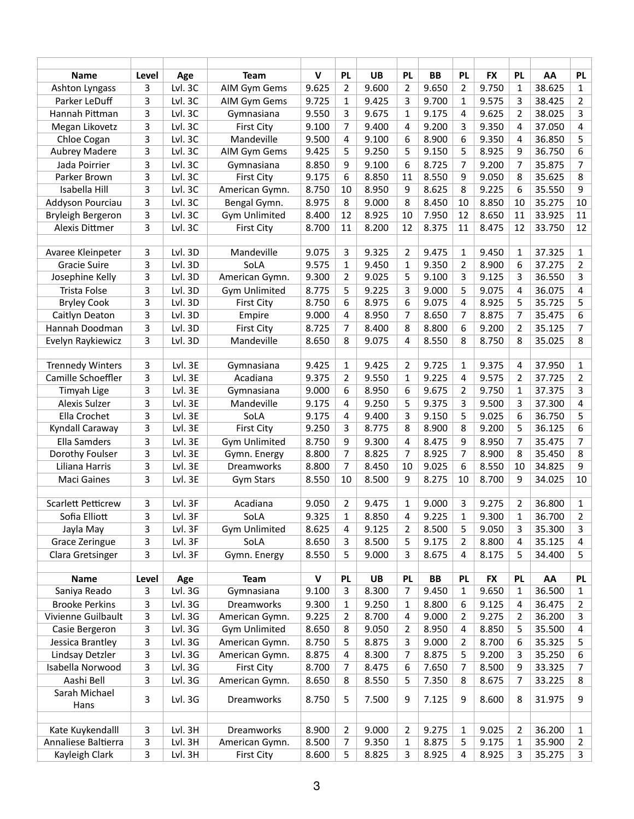| <b>Name</b>               | Level | Age     | <b>Team</b>          | $\mathbf v$ | <b>PL</b>      | <b>UB</b> | <b>PL</b>      | <b>BB</b> | <b>PL</b>      | <b>FX</b> | <b>PL</b>      | AA     | <b>PL</b>      |
|---------------------------|-------|---------|----------------------|-------------|----------------|-----------|----------------|-----------|----------------|-----------|----------------|--------|----------------|
| Ashton Lyngass            | 3     | Lvl. 3C | AIM Gym Gems         | 9.625       | $\overline{2}$ | 9.600     | $\overline{2}$ | 9.650     | $\overline{2}$ | 9.750     | 1              | 38.625 | $\mathbf{1}$   |
| Parker LeDuff             | 3     | Lvl. 3C | AIM Gym Gems         | 9.725       | $\mathbf{1}$   | 9.425     | 3              | 9.700     | 1              | 9.575     | 3              | 38.425 | 2              |
| Hannah Pittman            | 3     | Lvl. 3C | Gymnasiana           | 9.550       | 3              | 9.675     | 1              | 9.175     | 4              | 9.625     | 2              | 38.025 | 3              |
| Megan Likovetz            | 3     | Lvl. 3C | <b>First City</b>    | 9.100       | 7              | 9.400     | 4              | 9.200     | 3              | 9.350     | 4              | 37.050 | 4              |
| Chloe Cogan               | 3     | Lvl. 3C | Mandeville           | 9.500       | 4              | 9.100     | 6              | 8.900     | 6              | 9.350     | 4              | 36.850 | 5              |
| <b>Aubrey Madere</b>      | 3     | Lvl. 3C | AIM Gym Gems         | 9.425       | 5              | 9.250     | 5              | 9.150     | 5              | 8.925     | 9              | 36.750 | 6              |
| Jada Poirrier             | 3     | Lvl. 3C | Gymnasiana           | 8.850       | 9              | 9.100     | 6              | 8.725     | 7              | 9.200     | 7              | 35.875 | 7              |
| Parker Brown              | 3     | Lvl. 3C | <b>First City</b>    | 9.175       | 6              | 8.850     | 11             | 8.550     | 9              | 9.050     | 8              | 35.625 | 8              |
| Isabella Hill             | 3     | Lvl. 3C | American Gymn.       | 8.750       | 10             | 8.950     | 9              | 8.625     | 8              | 9.225     | 6              | 35.550 | 9              |
| Addyson Pourciau          | 3     | Lvl. 3C | Bengal Gymn.         | 8.975       | 8              | 9.000     | 8              | 8.450     | 10             | 8.850     | 10             | 35.275 | 10             |
| Bryleigh Bergeron         | 3     | Lvl. 3C | <b>Gym Unlimited</b> | 8.400       | 12             | 8.925     | 10             | 7.950     | 12             | 8.650     | 11             | 33.925 | 11             |
| Alexis Dittmer            | 3     | Lvl. 3C | <b>First City</b>    | 8.700       | 11             | 8.200     | 12             | 8.375     | 11             | 8.475     | 12             | 33.750 | 12             |
|                           |       |         |                      |             |                |           |                |           |                |           |                |        |                |
| Avaree Kleinpeter         | 3     | Lvl. 3D | Mandeville           | 9.075       | 3              | 9.325     | $\overline{2}$ | 9.475     | 1              | 9.450     | 1              | 37.325 | $\mathbf{1}$   |
| <b>Gracie Suire</b>       | 3     | Lvl. 3D | SoLA                 | 9.575       | 1              | 9.450     | $\mathbf{1}$   | 9.350     | 2              | 8.900     | 6              | 37.275 | $\overline{2}$ |
| Josephine Kelly           | 3     | Lvl. 3D | American Gymn.       | 9.300       | $\overline{2}$ | 9.025     | 5              | 9.100     | 3              | 9.125     | 3              | 36.550 | 3              |
| <b>Trista Folse</b>       | 3     | Lvl. 3D | <b>Gym Unlimited</b> | 8.775       | 5              | 9.225     | 3              | 9.000     | 5              | 9.075     | 4              | 36.075 | 4              |
| <b>Bryley Cook</b>        | 3     | Lvl. 3D | <b>First City</b>    | 8.750       | 6              | 8.975     | 6              | 9.075     | 4              | 8.925     | 5              | 35.725 | 5              |
| Caitlyn Deaton            | 3     | Lvl. 3D | Empire               | 9.000       | 4              | 8.950     | 7              | 8.650     | 7              | 8.875     | 7              | 35.475 | 6              |
| Hannah Doodman            | 3     | Lvl. 3D | <b>First City</b>    | 8.725       | 7              | 8.400     | 8              | 8.800     | 6              | 9.200     | $\overline{2}$ | 35.125 | 7              |
| Evelyn Raykiewicz         | 3     | Lvl. 3D | Mandeville           | 8.650       | 8              | 9.075     | 4              | 8.550     | 8              | 8.750     | 8              | 35.025 | 8              |
|                           |       |         |                      |             |                |           |                |           |                |           |                |        |                |
| <b>Trennedy Winters</b>   | 3     | Lvl. 3E | Gymnasiana           | 9.425       | 1              | 9.425     | $\overline{2}$ | 9.725     | 1              | 9.375     | 4              | 37.950 | $\mathbf{1}$   |
| Camille Schoeffler        | 3     | Lvl. 3E | Acadiana             | 9.375       | 2              | 9.550     | 1              | 9.225     | 4              | 9.575     | 2              | 37.725 | 2              |
| <b>Timyah Lige</b>        | 3     | Lvl. 3E | Gymnasiana           | 9.000       | 6              | 8.950     | 6              | 9.675     | 2              | 9.750     | 1              | 37.375 | 3              |
| <b>Alexis Sulzer</b>      | 3     | Lvl. 3E | Mandeville           | 9.175       | 4              | 9.250     | 5              | 9.375     | 3              | 9.500     | 3              | 37.300 | 4              |
| Ella Crochet              | 3     | Lvl. 3E | SoLA                 | 9.175       | 4              | 9.400     | 3              | 9.150     | 5              | 9.025     | 6              | 36.750 | 5              |
| Kyndall Caraway           | 3     | Lvl. 3E | <b>First City</b>    | 9.250       | 3              | 8.775     | 8              | 8.900     | 8              | 9.200     | 5              | 36.125 | 6              |
| <b>Ella Samders</b>       | 3     | Lvl. 3E | <b>Gym Unlimited</b> | 8.750       | 9              | 9.300     | $\overline{4}$ | 8.475     | 9              | 8.950     | 7              | 35.475 | 7              |
| Dorothy Foulser           | 3     | Lvl. 3E | Gymn. Energy         | 8.800       | 7              | 8.825     | 7              | 8.925     | $\overline{7}$ | 8.900     | 8              | 35.450 | 8              |
| Liliana Harris            | 3     | Lvl. 3E | Dreamworks           | 8.800       | 7              | 8.450     | 10             | 9.025     | 6              | 8.550     | 10             | 34.825 | 9              |
| <b>Maci Gaines</b>        | 3     | Lvl. 3E | <b>Gym Stars</b>     | 8.550       | 10             | 8.500     | 9              | 8.275     | 10             | 8.700     | 9              | 34.025 | 10             |
|                           |       |         |                      |             |                |           |                |           |                |           |                |        |                |
| <b>Scarlett Petticrew</b> | 3     | Lvl. 3F | Acadiana             | 9.050       | $\overline{2}$ | 9.475     | $\mathbf{1}$   | 9.000     | 3              | 9.275     | $\overline{2}$ | 36.800 | $\mathbf{1}$   |
| Sofia Elliott             | 3     | Lvl. 3F | SoLA                 | 9.325       | $\mathbf{1}$   | 8.850     | $\overline{4}$ | 9.225     | $\mathbf{1}$   | 9.300     | 1              | 36.700 | $\overline{2}$ |
| Jayla May                 | 3     | Lvl. 3F | <b>Gym Unlimited</b> | 8.625       | 4              | 9.125     | 2              | 8.500     | 5              | 9.050     | 3              | 35.300 | 3              |
| Grace Zeringue            | 3     | Lvl. 3F | SoLA                 | 8.650       | 3              | 8.500     | 5              | 9.175     | $\overline{2}$ | 8.800     | 4              | 35.125 | $\overline{4}$ |
| Clara Gretsinger          | 3     | Lvl. 3F | Gymn. Energy         | 8.550       | 5              | 9.000     | 3              | 8.675     | 4              | 8.175     | 5              | 34.400 | 5              |
|                           |       |         |                      |             |                |           |                |           |                |           |                |        |                |
| <b>Name</b>               | Level | Age     | <b>Team</b>          | $\mathbf v$ | <b>PL</b>      | <b>UB</b> | <b>PL</b>      | <b>BB</b> | <b>PL</b>      | <b>FX</b> | <b>PL</b>      | AA     | <b>PL</b>      |
| Saniya Reado              | 3     | Lvl. 3G | Gymnasiana           | 9.100       | 3              | 8.300     | $\overline{7}$ | 9.450     | $\mathbf{1}$   | 9.650     | 1              | 36.500 | $\mathbf{1}$   |
| <b>Brooke Perkins</b>     | 3     | Lvl. 3G | Dreamworks           | 9.300       | 1              | 9.250     | 1              | 8.800     | 6              | 9.125     | 4              | 36.475 | 2              |
| Vivienne Guilbault        | 3     | Lvl. 3G | American Gymn.       | 9.225       | $\overline{2}$ | 8.700     | $\overline{4}$ | 9.000     | $\overline{2}$ | 9.275     | 2              | 36.200 | 3              |
| Casie Bergeron            | 3     | Lvl. 3G | <b>Gym Unlimited</b> | 8.650       | 8              | 9.050     | 2              | 8.950     | 4              | 8.850     | 5              | 35.500 | 4              |
| Jessica Brantley          | 3     | Lvl. 3G | American Gymn.       | 8.750       | 5              | 8.875     | 3              | 9.000     | $\overline{2}$ | 8.700     | 6              | 35.325 | 5              |
| Lindsay Detzler           | 3     | Lvl. 3G | American Gymn.       | 8.875       | 4              | 8.300     | $\overline{7}$ | 8.875     | 5              | 9.200     | 3              | 35.250 | 6              |
| Isabella Norwood          | 3     | Lvl. 3G | <b>First City</b>    | 8.700       | $\overline{7}$ | 8.475     | 6              | 7.650     | 7              | 8.500     | 9              | 33.325 | $\overline{7}$ |
| Aashi Bell                | 3     | Lvl. 3G | American Gymn.       | 8.650       | 8              | 8.550     | 5              | 7.350     | 8              | 8.675     | 7              | 33.225 | 8              |
| Sarah Michael             | 3     | Lvl. 3G | Dreamworks           | 8.750       | 5              | 7.500     | 9              | 7.125     | 9              | 8.600     | 8              | 31.975 | 9              |
| Hans                      |       |         |                      |             |                |           |                |           |                |           |                |        |                |
|                           |       |         |                      |             |                |           |                |           |                |           |                |        |                |
| Kate Kuykendalll          | 3     | Lvl. 3H | Dreamworks           | 8.900       | $\overline{2}$ | 9.000     | $\overline{2}$ | 9.275     | 1              | 9.025     | $\overline{2}$ | 36.200 | $\mathbf{1}$   |
| Annaliese Baltierra       | 3     | Lvl. 3H | American Gymn.       | 8.500       | 7              | 9.350     | $\mathbf{1}$   | 8.875     | 5              | 9.175     | 1              | 35.900 | $\overline{2}$ |
| Kayleigh Clark            | 3     | Lvl. 3H | <b>First City</b>    | 8.600       | 5              | 8.825     | 3              | 8.925     | 4              | 8.925     | 3              | 35.275 | 3              |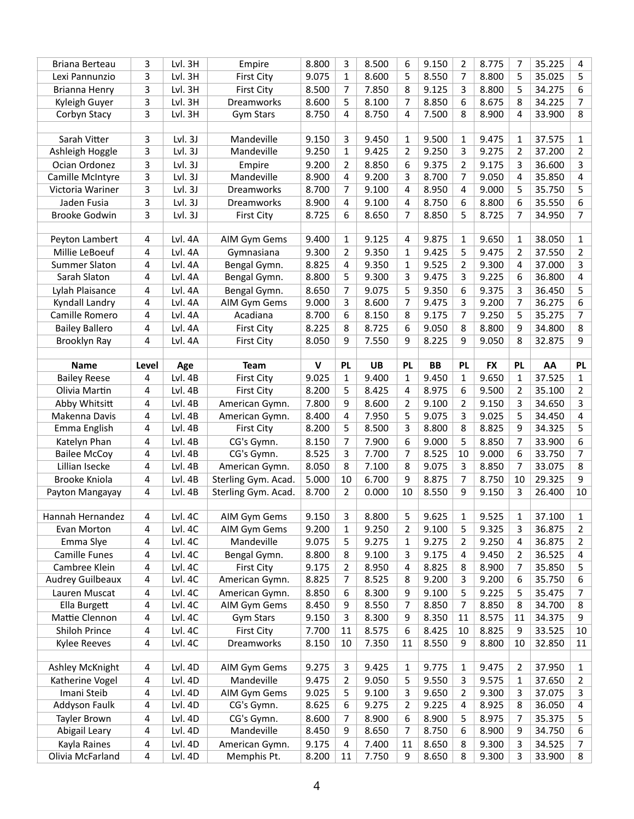| Briana Berteau          | 3     | Lvl. 3H | Empire              | 8.800        | 3            | 8.500     | 6              | 9.150     | 2              | 8.775     | 7         | 35.225 | 4            |
|-------------------------|-------|---------|---------------------|--------------|--------------|-----------|----------------|-----------|----------------|-----------|-----------|--------|--------------|
| Lexi Pannunzio          | 3     | Lvl. 3H | <b>First City</b>   | 9.075        | 1            | 8.600     | 5              | 8.550     | $\overline{7}$ | 8.800     | 5         | 35.025 | 5            |
| Brianna Henry           | 3     | Lvl. 3H | <b>First City</b>   | 8.500        | 7            | 7.850     | 8              | 9.125     | 3              | 8.800     | 5         | 34.275 | 6            |
| Kyleigh Guyer           | 3     | Lvl. 3H | Dreamworks          | 8.600        | 5            | 8.100     | 7              | 8.850     | 6              | 8.675     | 8         | 34.225 | 7            |
| Corbyn Stacy            | 3     | Lvl. 3H | <b>Gym Stars</b>    | 8.750        | 4            | 8.750     | 4              | 7.500     | 8              | 8.900     | 4         | 33.900 | 8            |
|                         |       |         |                     |              |              |           |                |           |                |           |           |        |              |
| Sarah Vitter            | 3     | Lvl.3J  | Mandeville          | 9.150        | 3            | 9.450     | $\mathbf{1}$   | 9.500     | 1              | 9.475     | 1         | 37.575 | 1            |
| Ashleigh Hoggle         | 3     | Lvl.3J  | Mandeville          | 9.250        | $\mathbf{1}$ | 9.425     | $\overline{2}$ | 9.250     | 3              | 9.275     | 2         | 37.200 | 2            |
| Ocian Ordonez           | 3     | Lvl.3J  | Empire              | 9.200        | 2            | 8.850     | 6              | 9.375     | 2              | 9.175     | 3         | 36.600 | 3            |
| Camille McIntyre        | 3     | Lvl.3J  | Mandeville          | 8.900        | 4            | 9.200     | 3              | 8.700     | 7              | 9.050     | 4         | 35.850 | 4            |
| Victoria Wariner        | 3     | Lvl.3J  | Dreamworks          | 8.700        | 7            | 9.100     | 4              | 8.950     | 4              | 9.000     | 5         | 35.750 | 5            |
|                         |       |         |                     |              |              |           |                |           |                |           |           |        |              |
| Jaden Fusia             | 3     | Lvl.3J  | Dreamworks          | 8.900        | 4            | 9.100     | 4              | 8.750     | 6              | 8.800     | 6         | 35.550 | 6            |
| <b>Brooke Godwin</b>    | 3     | Lvl. 3J | <b>First City</b>   | 8.725        | 6            | 8.650     | 7              | 8.850     | 5              | 8.725     | 7         | 34.950 | 7            |
|                         |       | Lvl. 4A |                     |              |              |           |                |           |                |           |           |        |              |
| Peyton Lambert          | 4     |         | AIM Gym Gems        | 9.400        | 1            | 9.125     | 4              | 9.875     | 1              | 9.650     | 1         | 38.050 | 1            |
| Millie LeBoeuf          | 4     | Lvl. 4A | Gymnasiana          | 9.300        | 2            | 9.350     | 1              | 9.425     | 5              | 9.475     | 2         | 37.550 | 2            |
| <b>Summer Slaton</b>    | 4     | Lvl. 4A | Bengal Gymn.        | 8.825        | 4            | 9.350     | $\mathbf{1}$   | 9.525     | $\overline{2}$ | 9.300     | 4         | 37.000 | 3            |
| Sarah Slaton            | 4     | Lvl. 4A | Bengal Gymn.        | 8.800        | 5            | 9.300     | 3              | 9.475     | 3              | 9.225     | 6         | 36.800 | 4            |
| Lylah Plaisance         | 4     | Lvl. 4A | Bengal Gymn.        | 8.650        | 7            | 9.075     | 5              | 9.350     | 6              | 9.375     | 3         | 36.450 | 5            |
| Kyndall Landry          | 4     | Lvl. 4A | AIM Gym Gems        | 9.000        | 3            | 8.600     | 7              | 9.475     | 3              | 9.200     | 7         | 36.275 | 6            |
| Camille Romero          | 4     | Lvl. 4A | Acadiana            | 8.700        | 6            | 8.150     | 8              | 9.175     | 7              | 9.250     | 5         | 35.275 | 7            |
| <b>Bailey Ballero</b>   | 4     | Lvl. 4A | <b>First City</b>   | 8.225        | 8            | 8.725     | 6              | 9.050     | 8              | 8.800     | 9         | 34.800 | 8            |
| Brooklyn Ray            | 4     | Lvl. 4A | <b>First City</b>   | 8.050        | 9            | 7.550     | 9              | 8.225     | 9              | 9.050     | 8         | 32.875 | 9            |
|                         |       |         |                     |              |              |           |                |           |                |           |           |        |              |
| <b>Name</b>             | Level | Age     | <b>Team</b>         | $\mathsf{v}$ | <b>PL</b>    | <b>UB</b> | <b>PL</b>      | <b>BB</b> | <b>PL</b>      | <b>FX</b> | <b>PL</b> | AA     | <b>PL</b>    |
| <b>Bailey Reese</b>     | 4     | Lvl. 4B | <b>First City</b>   | 9.025        | $\mathbf{1}$ | 9.400     | $\mathbf{1}$   | 9.450     | $\mathbf{1}$   | 9.650     | 1         | 37.525 | $\mathbf{1}$ |
| Olivia Martin           | 4     | Lvl. 4B | <b>First City</b>   | 8.200        | 5            | 8.425     | 4              | 8.975     | 6              | 9.500     | 2         | 35.100 | 2            |
| Abby Whitsitt           | 4     | Lvl. 4B | American Gymn.      | 7.800        | 9            | 8.600     | 2              | 9.100     | 2              | 9.150     | 3         | 34.650 | 3            |
| Makenna Davis           | 4     | Lvl. 4B | American Gymn.      | 8.400        | 4            | 7.950     | 5              | 9.075     | 3              | 9.025     | 5         | 34.450 | 4            |
| Emma English            | 4     | Lvl. 4B | <b>First City</b>   | 8.200        | 5            | 8.500     | 3              | 8.800     | 8              | 8.825     | 9         | 34.325 | 5            |
| Katelyn Phan            | 4     | Lvl. 4B | CG's Gymn.          | 8.150        | 7            | 7.900     | 6              | 9.000     | 5              | 8.850     | 7         | 33.900 | 6            |
| <b>Bailee McCoy</b>     | 4     | Lvl. 4B | CG's Gymn.          | 8.525        | 3            | 7.700     | 7              | 8.525     | 10             | 9.000     | 6         | 33.750 | 7            |
| Lillian Isecke          | 4     | Lvl. 4B | American Gymn.      | 8.050        | 8            | 7.100     | 8              | 9.075     | 3              | 8.850     | 7         | 33.075 | 8            |
| Brooke Kniola           | 4     | Lvl. 4B | Sterling Gym. Acad. | 5.000        | 10           | 6.700     | q              | 8.875     | 7              | 8.750     | 10        | 29.325 | q            |
| Payton Mangayay         | 4     | Lvl. 4B | Sterling Gym. Acad. | 8.700        | 2            | 0.000     | 10             | 8.550     | 9              | 9.150     | 3         | 26.400 | 10           |
|                         |       |         |                     |              |              |           |                |           |                |           |           |        |              |
| Hannah Hernandez        | 4     | Lvl. 4C | AIM Gym Gems        | 9.150        | 3            | 8.800     | 5              | 9.625     | 1              | 9.525     | 1         | 37.100 | 1            |
| Evan Morton             | 4     | Lvl. 4C | AIM Gym Gems        | 9.200        | 1            | 9.250     | 2              | 9.100     | 5              | 9.325     | 3         | 36.875 | 2            |
| Emma Slye               | 4     | Lvl. 4C | Mandeville          | 9.075        | 5            | 9.275     | 1              | 9.275     | 2              | 9.250     | 4         | 36.875 | 2            |
| <b>Camille Funes</b>    | 4     | Lvl. 4C | Bengal Gymn.        | 8.800        | 8            | 9.100     | 3              | 9.175     | 4              | 9.450     | 2         | 36.525 | 4            |
| Cambree Klein           | 4     | Lvl. 4C | <b>First City</b>   | 9.175        | 2            | 8.950     | 4              | 8.825     | 8              | 8.900     | 7         | 35.850 | 5            |
| <b>Audrey Guilbeaux</b> | 4     | Lvl. 4C | American Gymn.      | 8.825        | 7            | 8.525     | 8              | 9.200     | 3              | 9.200     | 6         | 35.750 | 6            |
|                         |       |         |                     |              |              |           |                |           |                |           |           |        |              |
| Lauren Muscat           | 4     | Lvl. 4C | American Gymn.      | 8.850        | 6            | 8.300     | 9              | 9.100     | 5              | 9.225     | 5         | 35.475 | 7            |
| Ella Burgett            | 4     | Lvl. 4C | AIM Gym Gems        | 8.450        | 9            | 8.550     | $\overline{7}$ | 8.850     | 7              | 8.850     | 8         | 34.700 | 8            |
| Mattie Clennon          | 4     | Lvl. 4C | <b>Gym Stars</b>    | 9.150        | 3            | 8.300     | 9              | 8.350     | 11             | 8.575     | 11        | 34.375 | 9            |
| Shiloh Prince           | 4     | Lvl. 4C | <b>First City</b>   | 7.700        | 11           | 8.575     | 6              | 8.425     | 10             | 8.825     | 9         | 33.525 | 10           |
| Kylee Reeves            | 4     | Lvl. 4C | Dreamworks          | 8.150        | 10           | 7.350     | 11             | 8.550     | 9              | 8.800     | 10        | 32.850 | 11           |
|                         |       |         |                     |              |              |           |                |           |                |           |           |        |              |
| Ashley McKnight         | 4     | Lvl. 4D | AIM Gym Gems        | 9.275        | 3            | 9.425     | 1              | 9.775     | 1              | 9.475     | 2         | 37.950 | 1            |
| Katherine Vogel         | 4     | Lvl. 4D | Mandeville          | 9.475        | 2            | 9.050     | 5              | 9.550     | 3              | 9.575     | 1         | 37.650 | 2            |
| Imani Steib             | 4     | Lvl. 4D | AIM Gym Gems        | 9.025        | 5            | 9.100     | 3              | 9.650     | $\overline{2}$ | 9.300     | 3         | 37.075 | 3            |
| Addyson Faulk           | 4     | Lvl. 4D | CG's Gymn.          | 8.625        | 6            | 9.275     | 2              | 9.225     | 4              | 8.925     | 8         | 36.050 | 4            |
| Tayler Brown            | 4     | Lvl. 4D | CG's Gymn.          | 8.600        | 7            | 8.900     | 6              | 8.900     | 5              | 8.975     | 7         | 35.375 | 5            |
| Abigail Leary           | 4     | Lvl. 4D | Mandeville          | 8.450        | 9            | 8.650     | $\overline{7}$ | 8.750     | 6              | 8.900     | 9         | 34.750 | 6            |
| Kayla Raines            | 4     | Lvl. 4D | American Gymn.      | 9.175        | 4            | 7.400     | 11             | 8.650     | 8              | 9.300     | 3         | 34.525 | 7            |
| Olivia McFarland        | 4     | Lvl. 4D | Memphis Pt.         | 8.200        | 11           | 7.750     | 9              | 8.650     | 8              | 9.300     | 3         | 33.900 | 8            |
|                         |       |         |                     |              |              |           |                |           |                |           |           |        |              |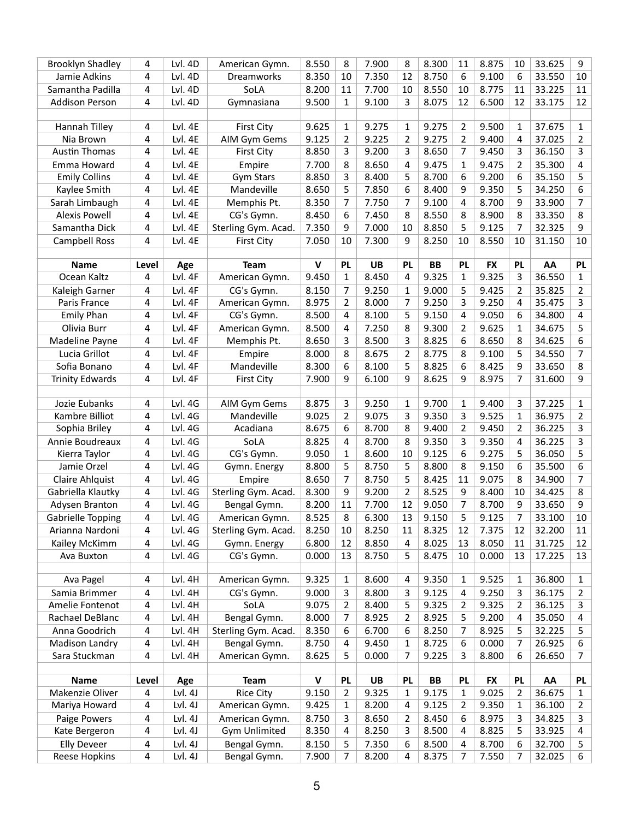| <b>Brooklyn Shadley</b> | 4              | Lvl. 4D | American Gymn.       | 8.550        | 8              | 7.900     | 8              | 8.300     | 11             | 8.875     | 10        | 33.625 | 9            |
|-------------------------|----------------|---------|----------------------|--------------|----------------|-----------|----------------|-----------|----------------|-----------|-----------|--------|--------------|
| Jamie Adkins            | 4              | Lvl. 4D | Dreamworks           | 8.350        | 10             | 7.350     | 12             | 8.750     | 6              | 9.100     | 6         | 33.550 | 10           |
| Samantha Padilla        | 4              | Lvl. 4D | SoLA                 | 8.200        | 11             | 7.700     | 10             | 8.550     | 10             | 8.775     | 11        | 33.225 | 11           |
| <b>Addison Person</b>   | $\overline{4}$ | Lvl. 4D | Gymnasiana           | 9.500        | $\mathbf{1}$   | 9.100     | 3              | 8.075     | 12             | 6.500     | 12        | 33.175 | 12           |
|                         |                |         |                      |              |                |           |                |           |                |           |           |        |              |
| Hannah Tilley           | 4              | Lvl. 4E | <b>First City</b>    | 9.625        | 1              | 9.275     | $\mathbf{1}$   | 9.275     | 2              | 9.500     | 1         | 37.675 | 1            |
| Nia Brown               | 4              | Lvl. 4E | AIM Gym Gems         | 9.125        | $\overline{2}$ | 9.225     | $\overline{2}$ | 9.275     | $\overline{2}$ | 9.400     | 4         | 37.025 | 2            |
| <b>Austin Thomas</b>    | 4              | Lvl. 4E | <b>First City</b>    | 8.850        | 3              | 9.200     | 3              | 8.650     | 7              | 9.450     | 3         | 36.150 | 3            |
| Emma Howard             | 4              | Lvl. 4E | Empire               | 7.700        | 8              | 8.650     | 4              | 9.475     | 1              | 9.475     | 2         | 35.300 | 4            |
| <b>Emily Collins</b>    | 4              | Lvl. 4E | Gym Stars            | 8.850        | 3              | 8.400     | 5              | 8.700     | 6              | 9.200     | 6         | 35.150 | 5            |
| Kaylee Smith            | 4              | Lvl. 4E | Mandeville           | 8.650        | 5              | 7.850     | 6              | 8.400     | 9              | 9.350     | 5         | 34.250 | 6            |
| Sarah Limbaugh          | 4              | Lvl. 4E | Memphis Pt.          | 8.350        | 7              | 7.750     | 7              | 9.100     | 4              | 8.700     | 9         | 33.900 | 7            |
| <b>Alexis Powell</b>    | 4              | Lvl. 4E | CG's Gymn.           | 8.450        | 6              | 7.450     | 8              | 8.550     | 8              | 8.900     | 8         | 33.350 | 8            |
| Samantha Dick           | 4              | Lvl. 4E | Sterling Gym. Acad.  | 7.350        | 9              | 7.000     | 10             | 8.850     | 5              | 9.125     | 7         | 32.325 | 9            |
| <b>Campbell Ross</b>    | $\overline{4}$ | Lvl. 4E | <b>First City</b>    | 7.050        | 10             | 7.300     | 9              | 8.250     | 10             | 8.550     | 10        | 31.150 | 10           |
|                         |                |         |                      |              |                |           |                |           |                |           |           |        |              |
| <b>Name</b>             | Level          | Age     | <b>Team</b>          | $\mathsf{V}$ | <b>PL</b>      | <b>UB</b> | <b>PL</b>      | <b>BB</b> | PL             | <b>FX</b> | <b>PL</b> | AA     | <b>PL</b>    |
| Ocean Kaltz             | 4              | Lvl. 4F | American Gymn.       | 9.450        | $\mathbf{1}$   | 8.450     | 4              | 9.325     | $\mathbf{1}$   | 9.325     | 3         | 36.550 | 1            |
| Kaleigh Garner          | 4              | Lvl. 4F | CG's Gymn.           | 8.150        | 7              | 9.250     | $\mathbf{1}$   | 9.000     | 5              | 9.425     | 2         | 35.825 | 2            |
| Paris France            | 4              | Lvl. 4F | American Gymn.       | 8.975        | $\overline{2}$ | 8.000     | 7              | 9.250     | 3              | 9.250     | 4         | 35.475 | 3            |
| <b>Emily Phan</b>       | 4              | Lvl. 4F | CG's Gymn.           | 8.500        | 4              | 8.100     | 5              | 9.150     | 4              | 9.050     | 6         | 34.800 | 4            |
| Olivia Burr             | 4              | Lvl. 4F | American Gymn.       | 8.500        | 4              | 7.250     | 8              | 9.300     | 2              | 9.625     | 1         | 34.675 | 5            |
| Madeline Payne          | 4              | Lvl. 4F | Memphis Pt.          | 8.650        | 3              | 8.500     | 3              | 8.825     | 6              | 8.650     | 8         | 34.625 | 6            |
| Lucia Grillot           | 4              | Lvl. 4F | Empire               | 8.000        | 8              | 8.675     | $\overline{2}$ | 8.775     | 8              | 9.100     | 5         | 34.550 | 7            |
| Sofia Bonano            | 4              | Lvl. 4F | Mandeville           | 8.300        | 6              | 8.100     | 5              | 8.825     | 6              | 8.425     | 9         | 33.650 | 8            |
| <b>Trinity Edwards</b>  | $\overline{4}$ | Lvl. 4F | <b>First City</b>    | 7.900        | 9              | 6.100     | 9              | 8.625     | 9              | 8.975     | 7         | 31.600 | 9            |
|                         |                |         |                      |              |                |           |                |           |                |           |           |        |              |
| Jozie Eubanks           | 4              | Lvl. 4G | AIM Gym Gems         | 8.875        | 3              | 9.250     | $\mathbf{1}$   | 9.700     | 1              | 9.400     | 3         | 37.225 | 1            |
| Kambre Billiot          | 4              | Lvl. 4G | Mandeville           | 9.025        | 2              | 9.075     | 3              | 9.350     | 3              | 9.525     | 1         | 36.975 | 2            |
| Sophia Briley           | 4              | Lvl. 4G | Acadiana             | 8.675        | 6              | 8.700     | 8              | 9.400     | 2              | 9.450     | 2         | 36.225 | 3            |
| Annie Boudreaux         | $\overline{4}$ | Lvl. 4G | SoLA                 | 8.825        | 4              | 8.700     | 8              | 9.350     | 3              | 9.350     | 4         | 36.225 | 3            |
| Kierra Taylor           | 4              | Lvl. 4G | CG's Gymn.           | 9.050        | $\mathbf{1}$   | 8.600     | 10             | 9.125     | 6              | 9.275     | 5         | 36.050 | 5            |
| Jamie Orzel             | 4              | Lvl. 4G | Gymn. Energy         | 8.800        | 5              | 8.750     | 5              | 8.800     | 8              | 9.150     | 6         | 35.500 | 6            |
| Claire Ahlquist         | 4              | Lvl. 4G | Empire               | 8.650        | 7              | 8.750     | 5              | 8.425     | 11             | 9.075     | 8         | 34.900 | 7            |
| Gabriella Klautky       | 4              | Lvl. 4G | Sterling Gym. Acad.  | 8.300        | 9              | 9.200     | 2              | 8.525     | 9              | 8.400     | 10        | 34.425 | 8            |
| Adysen Branton          | 4              | Lvl. 4G | Bengal Gymn.         | 8.200        | 11             | 7.700     | 12             | 9.050     | 7              | 8.700     | 9         | 33.650 | 9            |
| Gabrielle Topping       | 4              | Lvl. 4G | American Gymn.       | 8.525        | 8              | 6.300     | 13             | 9.150     | 5              | 9.125     | 7         | 33.100 | 10           |
| Arianna Nardoni         | 4              | Lvl. 4G | Sterling Gym. Acad.  | 8.250        | 10             | 8.250     | 11             | 8.325     | 12             | 7.375     | 12        | 32.200 | 11           |
| Kailey McKimm           | 4              | Lvl. 4G | Gymn. Energy         | 6.800        | 12             | 8.850     | 4              | 8.025     | 13             | 8.050     | 11        | 31.725 | 12           |
| Ava Buxton              | $\overline{a}$ | Lvl. 4G | CG's Gymn.           | 0.000        | 13             | 8.750     | 5              | 8.475     | 10             | 0.000     | 13        | 17.225 | 13           |
| Ava Pagel               | 4              | Lvl. 4H | American Gymn.       | 9.325        | $\mathbf{1}$   | 8.600     | 4              | 9.350     | 1              | 9.525     | 1         | 36.800 | 1            |
| Samia Brimmer           | 4              | Lvl. 4H | CG's Gymn.           | 9.000        | 3              | 8.800     |                | 9.125     | 4              | 9.250     | 3         | 36.175 |              |
| Amelie Fontenot         | 4              | Lvl. 4H | SoLA                 | 9.075        | $\overline{2}$ | 8.400     | 3<br>5         | 9.325     | 2              | 9.325     | 2         | 36.125 | 2<br>3       |
| Rachael DeBlanc         | 4              | Lvl. 4H | Bengal Gymn.         | 8.000        | 7              | 8.925     | 2              | 8.925     | 5              | 9.200     | 4         | 35.050 | 4            |
| Anna Goodrich           | 4              | Lvl. 4H | Sterling Gym. Acad.  | 8.350        | 6              | 6.700     | 6              | 8.250     | 7              | 8.925     | 5         | 32.225 | 5            |
| Madison Landry          | 4              | Lvl. 4H | Bengal Gymn.         | 8.750        | 4              | 9.450     | 1              | 8.725     | 6              | 0.000     | 7         | 26.925 | 6            |
| Sara Stuckman           | $\overline{a}$ | Lvl. 4H | American Gymn.       | 8.625        | 5              | 0.000     | 7              | 9.225     | 3              | 8.800     | 6         | 26.650 | 7            |
|                         |                |         |                      |              |                |           |                |           |                |           |           |        |              |
| <b>Name</b>             | Level          | Age     | <b>Team</b>          | $\mathsf{v}$ | <b>PL</b>      | <b>UB</b> | <b>PL</b>      | <b>BB</b> | <b>PL</b>      | <b>FX</b> | <b>PL</b> | AA     | <b>PL</b>    |
| Makenzie Oliver         | 4              | Lvl.4J  | <b>Rice City</b>     | 9.150        | $\overline{2}$ | 9.325     | $\mathbf{1}$   | 9.175     | 1              | 9.025     | 2         | 36.675 | $\mathbf{1}$ |
| Mariya Howard           | 4              | Lvl. 4J | American Gymn.       | 9.425        | $\mathbf{1}$   | 8.200     | 4              | 9.125     | 2              | 9.350     | 1         | 36.100 | 2            |
| Paige Powers            | 4              | Lvl. 4J | American Gymn.       | 8.750        | 3              | 8.650     | 2              | 8.450     | 6              | 8.975     | 3         | 34.825 | 3            |
| Kate Bergeron           | 4              | Lvl. 4J | <b>Gym Unlimited</b> | 8.350        | 4              | 8.250     | 3              | 8.500     | 4              | 8.825     | 5         | 33.925 | 4            |
| <b>Elly Deveer</b>      | 4              | Lvl. 4J | Bengal Gymn.         | 8.150        | 5              | 7.350     | 6              | 8.500     | 4              | 8.700     | 6         | 32.700 | 5            |
| Reese Hopkins           | 4              | Lvl. 4J | Bengal Gymn.         | 7.900        | 7              | 8.200     | 4              | 8.375     | 7              | 7.550     | 7         | 32.025 | 6            |
|                         |                |         |                      |              |                |           |                |           |                |           |           |        |              |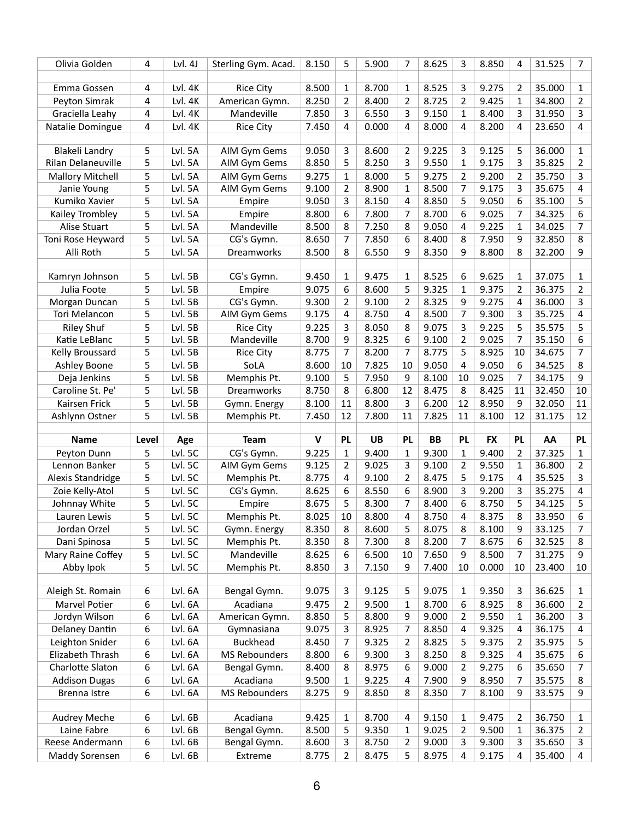| Olivia Golden                     | 4              | Lvl. 4J            | Sterling Gym. Acad.     | 8.150          | 5                   | 5.900          | 7                   | 8.625          | 3              | 8.850          | 4              | 31.525           | 7            |
|-----------------------------------|----------------|--------------------|-------------------------|----------------|---------------------|----------------|---------------------|----------------|----------------|----------------|----------------|------------------|--------------|
|                                   |                |                    |                         |                |                     |                |                     |                |                |                |                |                  |              |
| Emma Gossen                       | 4              | Lvl. 4K            | <b>Rice City</b>        | 8.500          | 1                   | 8.700          | $\mathbf{1}$        | 8.525          | 3              | 9.275          | $\overline{2}$ | 35.000           | $\mathbf{1}$ |
| Peyton Simrak                     | 4              | Lvl. 4K            | American Gymn.          | 8.250          | $\overline{2}$      | 8.400          | 2                   | 8.725          | $\overline{2}$ | 9.425          | 1              | 34.800           | 2            |
| Graciella Leahy                   | 4              | Lvl. 4K            | Mandeville              | 7.850          | 3                   | 6.550          | 3                   | 9.150          | 1              | 8.400          | 3              | 31.950           | 3            |
| Natalie Domingue                  | $\overline{4}$ | Lvl. 4K            | <b>Rice City</b>        | 7.450          | 4                   | 0.000          | 4                   | 8.000          | 4              | 8.200          | 4              | 23.650           | 4            |
|                                   |                |                    |                         |                |                     |                |                     |                |                |                |                |                  |              |
| <b>Blakeli Landry</b>             | 5              | Lvl. 5A            | AIM Gym Gems            | 9.050          | 3                   | 8.600          | $\overline{2}$      | 9.225          | 3              | 9.125          | 5              | 36.000           | 1            |
| Rilan Delaneuville                | 5              | Lvl. 5A            | AIM Gym Gems            | 8.850          | 5                   | 8.250          | 3                   | 9.550          | $\mathbf{1}$   | 9.175          | 3              | 35.825           | 2            |
| <b>Mallory Mitchell</b>           | 5              | Lvl. 5A            | AIM Gym Gems            | 9.275          | 1                   | 8.000          | 5                   | 9.275          | 2              | 9.200          | 2              | 35.750           | 3            |
| Janie Young                       | 5              | Lvl. 5A            | AIM Gym Gems            | 9.100          | 2                   | 8.900          | $\mathbf{1}$        | 8.500          | 7              | 9.175          | 3              | 35.675           | 4            |
| Kumiko Xavier                     | 5              | Lvl. 5A            | Empire                  | 9.050          | 3                   | 8.150          | 4                   | 8.850          | 5              | 9.050          | 6              | 35.100           | 5            |
| Kailey Trombley                   | 5              | Lvl. 5A            | Empire                  | 8.800          | 6                   | 7.800          | 7                   | 8.700          | 6              | 9.025          | 7              | 34.325           | 6            |
| Alise Stuart                      | 5              | Lvl. 5A            | Mandeville              | 8.500          | 8                   | 7.250          | 8                   | 9.050          | 4              | 9.225          | 1              | 34.025           | 7            |
| Toni Rose Heyward                 | 5              | Lvl. 5A            | CG's Gymn.              | 8.650          | 7                   | 7.850          | 6                   | 8.400          | 8              | 7.950          | 9              | 32.850           | 8            |
| Alli Roth                         | 5              | Lvl. 5A            | Dreamworks              | 8.500          | 8                   | 6.550          | 9                   | 8.350          | 9              | 8.800          | 8              | 32.200           | 9            |
|                                   |                |                    |                         |                |                     |                |                     |                |                |                |                |                  |              |
| Kamryn Johnson                    | 5              | Lvl. 5B            | CG's Gymn.              | 9.450          | 1                   | 9.475          | 1                   | 8.525          | 6              | 9.625          | 1              | 37.075           | $\mathbf{1}$ |
| Julia Foote                       | 5              | Lvl. 5B            | Empire                  | 9.075          | 6                   | 8.600          | 5                   | 9.325          | 1              | 9.375          | 2              | 36.375           | 2            |
| Morgan Duncan                     | 5              | Lvl. 5B            | CG's Gymn.              | 9.300          | $\overline{2}$      | 9.100          | $\overline{2}$      | 8.325          | 9              | 9.275          | 4              | 36.000           | 3            |
| Tori Melancon                     | 5              | Lvl. 5B            | AIM Gym Gems            | 9.175          | 4                   | 8.750          | 4                   | 8.500          | 7              | 9.300          | 3              | 35.725           | 4            |
| <b>Riley Shuf</b>                 | 5              | Lvl. 5B            | <b>Rice City</b>        | 9.225          | 3                   | 8.050          | 8                   | 9.075          | 3              | 9.225          | 5              | 35.575           | 5            |
| Katie LeBlanc                     | 5              | Lvl. 5B            | Mandeville              | 8.700          | 9                   | 8.325          | 6                   | 9.100          | $\overline{2}$ | 9.025          | 7              | 35.150           | 6            |
| Kelly Broussard                   | 5              | Lvl. 5B            | <b>Rice City</b>        | 8.775          | $\overline{7}$      | 8.200          | 7                   | 8.775          | 5              | 8.925          | 10             | 34.675           | 7            |
| Ashley Boone                      | 5              | Lvl. 5B            | SoLA                    | 8.600          | 10                  | 7.825          | 10                  | 9.050          | 4              | 9.050          | 6              | 34.525           | 8            |
| Deja Jenkins                      | 5              | Lvl. 5B            | Memphis Pt.             | 9.100          | 5                   | 7.950          | 9                   | 8.100          | 10             | 9.025          | 7              | 34.175           | 9            |
| Caroline St. Pe'                  | 5              | Lvl. 5B            | Dreamworks              | 8.750          | 8                   | 6.800          | 12                  | 8.475          | 8              | 8.425          | 11             | 32.450           | 10           |
|                                   | 5              | Lvl. 5B            | Gymn. Energy            | 8.100          | 11                  | 8.800          | 3                   | 6.200          | 12             | 8.950          | 9              | 32.050           | 11           |
| Kairsen Frick                     |                |                    |                         |                |                     |                |                     |                |                |                |                |                  |              |
| Ashlynn Ostner                    | 5              | Lvl. 5B            | Memphis Pt.             | 7.450          | 12                  | 7.800          | 11                  | 7.825          | 11             | 8.100          | 12             | 31.175           | 12           |
|                                   |                |                    |                         |                |                     |                |                     |                |                |                |                |                  |              |
| <b>Name</b>                       | Level          | Age                | <b>Team</b>             | V              | <b>PL</b>           | <b>UB</b>      | <b>PL</b>           | <b>BB</b>      | <b>PL</b>      | <b>FX</b>      | <b>PL</b>      | AA               | <b>PL</b>    |
| Peyton Dunn                       | 5              | Lvl. 5C            | CG's Gymn.              | 9.225          | 1                   | 9.400          | $\mathbf{1}$        | 9.300          | 1              | 9.400          | 2              | 37.325           | $\mathbf{1}$ |
| Lennon Banker                     | 5              | Lvl. 5C            | AIM Gym Gems            | 9.125          | $\overline{2}$      | 9.025          | 3                   | 9.100          | $\overline{2}$ | 9.550          | 1              | 36.800           | 2            |
| Alexis Standridge                 | 5              | Lvl. 5C            | Memphis Pt.             | 8.775          | 4                   | 9.100          | 2                   | 8.475          | 5              | 9.175          | 4              | 35.525           | 3            |
| Zoie Kelly-Atol                   | 5              | Lvl. 5C            | CG's Gymn.              | 8.625          | 6                   | 8.550          | 6                   | 8.900          | 3              | 9.200          | 3              | 35.275           | 4            |
| Johnnay White                     | 5              | Lvl. 5C            | Empire                  | 8.675          | 5                   | 8.300          | 7                   | 8.400          | 6              | 8.750          | 5              | 34.125           | 5            |
| Lauren Lewis                      | 5              | Lvl. 5C            | Memphis Pt.             | 8.025          | 10                  | 8.800          | 4                   | 8.750          | 4              | 8.375          | 8              | 33.950           | 6            |
| Jordan Orzel                      | 5              | Lvl. 5C            | Gymn. Energy            | 8.350          | 8                   | 8.600          | 5                   | 8.075          | 8              | 8.100          | 9              | 33.125           | 7            |
| Dani Spinosa                      | 5              | Lvl. 5C            | Memphis Pt.             | 8.350          | 8                   | 7.300          | 8                   | 8.200          | 7              | 8.675          | 6              | 32.525           | 8            |
| Mary Raine Coffey                 | 5              | Lvl. 5C            | Mandeville              | 8.625          | 6                   | 6.500          | 10                  | 7.650          | 9              | 8.500          | 7              | 31.275           | 9            |
| Abby Ipok                         | 5              | Lvl. 5C            | Memphis Pt.             | 8.850          | 3                   | 7.150          | 9                   | 7.400          | 10             | 0.000          | 10             | 23.400           | 10           |
|                                   |                |                    |                         |                |                     |                |                     |                |                |                |                |                  |              |
| Aleigh St. Romain                 | 6              | Lvl. 6A            | Bengal Gymn.            | 9.075          | 3                   | 9.125          | 5                   | 9.075          | $\mathbf{1}$   | 9.350          | 3              | 36.625           | $\mathbf{1}$ |
| Marvel Potier                     | 6              | Lvl. 6A            | Acadiana                | 9.475          | 2                   | 9.500          | 1                   | 8.700          | 6              | 8.925          | 8              | 36.600           | 2            |
| Jordyn Wilson                     | 6              | Lvl. 6A            | American Gymn.          | 8.850          | 5                   | 8.800          | 9                   | 9.000          | $\overline{2}$ | 9.550          | 1              | 36.200           | 3            |
| Delaney Dantin                    | 6              | Lvl. 6A            | Gymnasiana              | 9.075          | 3                   | 8.925          | 7                   | 8.850          | 4              | 9.325          | 4              | 36.175           | 4            |
| Leighton Snider                   | 6              | Lvl. 6A            | <b>Buckhead</b>         | 8.450          | $\overline{7}$      | 9.325          | $\overline{2}$      | 8.825          | 5              | 9.375          | 2              | 35.975           | 5            |
| Elizabeth Thrash                  | 6              | Lvl. 6A            | <b>MS Rebounders</b>    | 8.800          | 6                   | 9.300          | 3                   | 8.250          | 8              | 9.325          | 4              | 35.675           | 6            |
| Charlotte Slaton                  | 6              | Lvl. 6A            | Bengal Gymn.            | 8.400          | 8                   | 8.975          | 6                   | 9.000          | 2              | 9.275          | 6              | 35.650           | 7            |
| <b>Addison Dugas</b>              | 6              | Lvl. 6A            | Acadiana                | 9.500          | $\mathbf{1}$        | 9.225          | $\overline{4}$      | 7.900          | 9              | 8.950          | 7              | 35.575           | 8            |
| Brenna Istre                      | 6              | Lvl. 6A            | <b>MS Rebounders</b>    | 8.275          | 9                   | 8.850          | 8                   | 8.350          | 7              | 8.100          | 9              | 33.575           | 9            |
|                                   |                |                    |                         |                |                     |                |                     |                |                |                |                |                  |              |
| Audrey Meche                      | 6              | Lvl. 6B            | Acadiana                | 9.425          | $\mathbf{1}$        | 8.700          | $\overline{4}$      | 9.150          | 1              | 9.475          | 2              | 36.750           | 1            |
| Laine Fabre                       | 6              | Lvl. 6B            | Bengal Gymn.            | 8.500          | 5                   | 9.350          | $\mathbf{1}$        | 9.025          | 2              | 9.500          | 1              | 36.375           | 2            |
| Reese Andermann<br>Maddy Sorensen | 6<br>6         | Lvl. 6B<br>Lvl. 6B | Bengal Gymn.<br>Extreme | 8.600<br>8.775 | 3<br>$\overline{2}$ | 8.750<br>8.475 | $\overline{2}$<br>5 | 9.000<br>8.975 | 3              | 9.300<br>9.175 | 3              | 35.650<br>35.400 | 3<br>4       |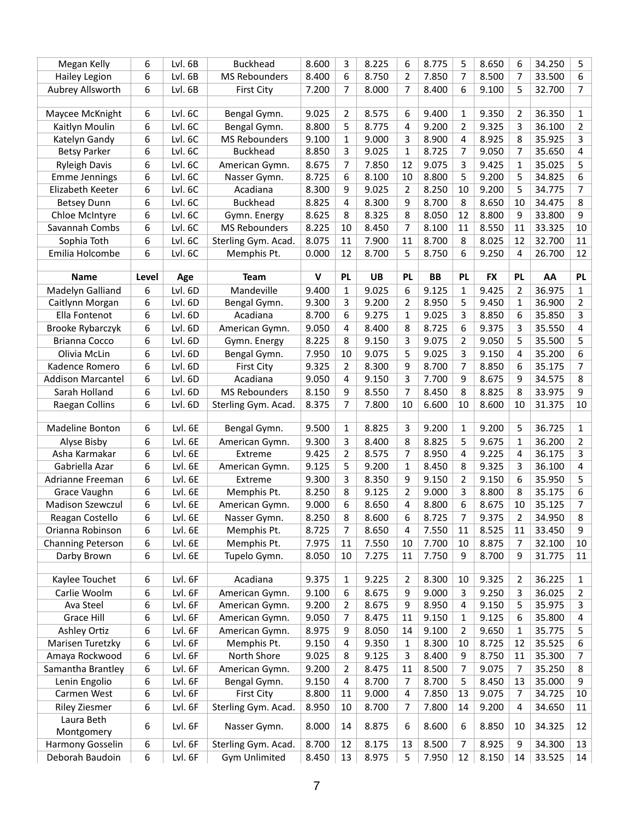| 8.600<br>8.225<br>8.775<br>8.650<br>Megan Kelly<br>6<br>Lvl. 6B<br><b>Buckhead</b><br>3<br>5<br>6<br>6<br>6<br>Lvl. 6B<br><b>MS Rebounders</b><br>8.400<br>6<br>8.750<br>$\overline{2}$<br>7.850<br>7<br>7<br><b>Hailey Legion</b><br>8.500<br>Aubrey Allsworth<br>6<br>Lvl. 6B<br>7.200<br>7<br>8.000<br>7<br>8.400<br>6<br>5<br><b>First City</b><br>9.100<br>6<br>Lvl. 6C<br>9.025<br>$\overline{2}$<br>8.575<br>Maycee McKnight<br>Bengal Gymn.<br>6<br>9.400<br>9.350<br>2<br>1<br>9.200<br>Kaitlyn Moulin<br>6<br>Lvl. 6C<br>Bengal Gymn.<br>8.800<br>5<br>8.775<br>2<br>9.325<br>3<br>4<br>6<br><b>MS Rebounders</b><br>3<br>8.900<br>8.925<br>Lvl. 6C<br>9.100<br>$\mathbf{1}$<br>9.000<br>4<br>8<br>Katelyn Gandy<br>6<br>Lvl. 6C<br><b>Buckhead</b><br>8.850<br>3<br>9.025<br>$\mathbf{1}$<br>8.725<br>9.050<br><b>Betsy Parker</b><br>7<br>7 | 34.250<br>5<br>33.500<br>6<br>7<br>32.700<br>36.350<br>1<br>36.100<br>2<br>35.925<br>3 |
|---------------------------------------------------------------------------------------------------------------------------------------------------------------------------------------------------------------------------------------------------------------------------------------------------------------------------------------------------------------------------------------------------------------------------------------------------------------------------------------------------------------------------------------------------------------------------------------------------------------------------------------------------------------------------------------------------------------------------------------------------------------------------------------------------------------------------------------------------------|----------------------------------------------------------------------------------------|
|                                                                                                                                                                                                                                                                                                                                                                                                                                                                                                                                                                                                                                                                                                                                                                                                                                                         |                                                                                        |
|                                                                                                                                                                                                                                                                                                                                                                                                                                                                                                                                                                                                                                                                                                                                                                                                                                                         |                                                                                        |
|                                                                                                                                                                                                                                                                                                                                                                                                                                                                                                                                                                                                                                                                                                                                                                                                                                                         |                                                                                        |
|                                                                                                                                                                                                                                                                                                                                                                                                                                                                                                                                                                                                                                                                                                                                                                                                                                                         |                                                                                        |
|                                                                                                                                                                                                                                                                                                                                                                                                                                                                                                                                                                                                                                                                                                                                                                                                                                                         |                                                                                        |
|                                                                                                                                                                                                                                                                                                                                                                                                                                                                                                                                                                                                                                                                                                                                                                                                                                                         |                                                                                        |
|                                                                                                                                                                                                                                                                                                                                                                                                                                                                                                                                                                                                                                                                                                                                                                                                                                                         |                                                                                        |
|                                                                                                                                                                                                                                                                                                                                                                                                                                                                                                                                                                                                                                                                                                                                                                                                                                                         | 35.650<br>4                                                                            |
| 6<br>Lvl. 6C<br>8.675<br>7<br>7.850<br>9.075<br>9.425<br><b>Ryleigh Davis</b><br>12<br>3<br>1<br>American Gymn.                                                                                                                                                                                                                                                                                                                                                                                                                                                                                                                                                                                                                                                                                                                                         | 5<br>35.025                                                                            |
| 6<br><b>Emme Jennings</b><br>Lvl. 6C<br>8.725<br>6<br>8.100<br>8.800<br>5<br>9.200<br>Nasser Gymn.<br>10<br>5                                                                                                                                                                                                                                                                                                                                                                                                                                                                                                                                                                                                                                                                                                                                           | 34.825<br>6                                                                            |
| Elizabeth Keeter<br>6<br>Lvl. 6C<br>Acadiana<br>8.300<br>9<br>9.025<br>$\overline{2}$<br>8.250<br>9.200<br>5<br>10                                                                                                                                                                                                                                                                                                                                                                                                                                                                                                                                                                                                                                                                                                                                      | 34.775<br>7                                                                            |
| 6<br>Lvl. 6C<br><b>Buckhead</b><br>8.825<br>8.300<br>9<br>8.700<br>8<br>8.650<br><b>Betsey Dunn</b><br>4<br>10                                                                                                                                                                                                                                                                                                                                                                                                                                                                                                                                                                                                                                                                                                                                          | 34.475<br>8                                                                            |
| 8.625<br>Chloe McIntyre<br>6<br>Lvl. 6C<br>8<br>8.325<br>8<br>8.050<br>12<br>8.800<br>9<br>Gymn. Energy                                                                                                                                                                                                                                                                                                                                                                                                                                                                                                                                                                                                                                                                                                                                                 | 9<br>33.800                                                                            |
| 6<br>8.225<br>Savannah Combs<br>Lvl. 6C<br><b>MS Rebounders</b><br>10<br>8.450<br>7<br>8.100<br>11<br>8.550<br>11                                                                                                                                                                                                                                                                                                                                                                                                                                                                                                                                                                                                                                                                                                                                       | 33.325<br>10                                                                           |
| 8.075<br>6<br>Lvl. 6C<br>Sterling Gym. Acad.<br>7.900<br>11<br>8.700<br>8.025<br>Sophia Toth<br>11<br>8<br>12                                                                                                                                                                                                                                                                                                                                                                                                                                                                                                                                                                                                                                                                                                                                           | 11<br>32.700                                                                           |
| 6<br>12<br>5<br>Emilia Holcombe<br>Lvl. 6C<br>0.000<br>8.700<br>8.750<br>6<br>9.250<br>Memphis Pt.<br>4                                                                                                                                                                                                                                                                                                                                                                                                                                                                                                                                                                                                                                                                                                                                                 | 12<br>26.700                                                                           |
|                                                                                                                                                                                                                                                                                                                                                                                                                                                                                                                                                                                                                                                                                                                                                                                                                                                         |                                                                                        |
| $\mathbf v$<br><b>PL</b><br><b>UB</b><br><b>PL</b><br><b>BB</b><br>PL<br><b>FX</b><br><b>Team</b><br><b>PL</b><br><b>Name</b><br>Level<br>Age                                                                                                                                                                                                                                                                                                                                                                                                                                                                                                                                                                                                                                                                                                           | AA<br><b>PL</b>                                                                        |
| 9.025<br>Madelyn Galliand<br>6<br>Lvl. 6D<br>Mandeville<br>9.400<br>$\mathbf{1}$<br>6<br>9.125<br>9.425<br>1<br>2                                                                                                                                                                                                                                                                                                                                                                                                                                                                                                                                                                                                                                                                                                                                       | 36.975<br>1                                                                            |
| 9.300<br>Caitlynn Morgan<br>6<br>Lvl. 6D<br>Bengal Gymn.<br>3<br>9.200<br>8.950<br>5<br>9.450<br>2<br>1                                                                                                                                                                                                                                                                                                                                                                                                                                                                                                                                                                                                                                                                                                                                                 | 36.900<br>2                                                                            |
| Ella Fontenot<br>6<br>Lvl. 6D<br>Acadiana<br>8.700<br>6<br>9.275<br>9.025<br>3<br>$\mathbf{1}$<br>8.850<br>6                                                                                                                                                                                                                                                                                                                                                                                                                                                                                                                                                                                                                                                                                                                                            | 3<br>35.850                                                                            |
| Brooke Rybarczyk<br>6<br>Lvl. 6D<br>9.050<br>8.400<br>8.725<br>6<br>9.375<br>American Gymn.<br>4<br>8<br>3                                                                                                                                                                                                                                                                                                                                                                                                                                                                                                                                                                                                                                                                                                                                              | 35.550<br>4                                                                            |
| 3<br><b>Brianna Cocco</b><br>6<br>Lvl. 6D<br>8.225<br>8<br>9.150<br>9.075<br>2<br>9.050<br>5<br>Gymn. Energy                                                                                                                                                                                                                                                                                                                                                                                                                                                                                                                                                                                                                                                                                                                                            | 5                                                                                      |
|                                                                                                                                                                                                                                                                                                                                                                                                                                                                                                                                                                                                                                                                                                                                                                                                                                                         |                                                                                        |
|                                                                                                                                                                                                                                                                                                                                                                                                                                                                                                                                                                                                                                                                                                                                                                                                                                                         | 35.500                                                                                 |
| 6<br>Lvl. 6D<br>Bengal Gymn.<br>7.950<br>9.075<br>5<br>9.025<br>Olivia McLin<br>10<br>3<br>9.150<br>4                                                                                                                                                                                                                                                                                                                                                                                                                                                                                                                                                                                                                                                                                                                                                   | 35.200<br>6                                                                            |
| 9.325<br>$\overline{2}$<br>$\overline{7}$<br>6<br>Lvl. 6D<br>8.300<br>9<br>8.700<br>8.850<br>Kadence Romero<br><b>First City</b><br>6                                                                                                                                                                                                                                                                                                                                                                                                                                                                                                                                                                                                                                                                                                                   | 35.175<br>7                                                                            |
| 6<br>3<br>Lvl. 6D<br>Acadiana<br>9.050<br>$\overline{4}$<br>9.150<br>7.700<br>9<br>8.675<br>9<br><b>Addison Marcantel</b>                                                                                                                                                                                                                                                                                                                                                                                                                                                                                                                                                                                                                                                                                                                               | 8<br>34.575                                                                            |
| 9<br>Sarah Holland<br>6<br>Lvl. 6D<br><b>MS Rebounders</b><br>8.150<br>8.550<br>7<br>8.450<br>8<br>8.825<br>8                                                                                                                                                                                                                                                                                                                                                                                                                                                                                                                                                                                                                                                                                                                                           | 9<br>33.975                                                                            |
| 6<br>7<br>Lvl. 6D<br>8.375<br>7.800<br>6.600<br>8.600<br>Raegan Collins<br>Sterling Gym. Acad.<br>10<br>10<br>10                                                                                                                                                                                                                                                                                                                                                                                                                                                                                                                                                                                                                                                                                                                                        | 10<br>31.375                                                                           |
|                                                                                                                                                                                                                                                                                                                                                                                                                                                                                                                                                                                                                                                                                                                                                                                                                                                         |                                                                                        |
| 6<br>Lvl. 6E<br>9.500<br>8.825<br>9.200<br>9.200<br>Madeline Bonton<br>Bengal Gymn.<br>3<br>5<br>1<br>1                                                                                                                                                                                                                                                                                                                                                                                                                                                                                                                                                                                                                                                                                                                                                 | 36.725<br>1                                                                            |
| 6<br>3<br>8.825<br>Lvl. 6E<br>American Gymn.<br>9.300<br>8.400<br>8<br>5<br>9.675<br>Alyse Bisby<br>1                                                                                                                                                                                                                                                                                                                                                                                                                                                                                                                                                                                                                                                                                                                                                   | 36.200<br>2                                                                            |
| $\overline{2}$<br>Asha Karmakar<br>6<br>Lvl. 6E<br>9.425<br>8.575<br>7<br>8.950<br>9.225<br>Extreme<br>4<br>4                                                                                                                                                                                                                                                                                                                                                                                                                                                                                                                                                                                                                                                                                                                                           | 3<br>36.175                                                                            |
| 5<br>3<br>Gabriella Azar<br>6<br>Lvl. 6E<br>9.125<br>9.200<br>$\mathbf{1}$<br>8.450<br>8<br>9.325<br>American Gymn.<br>q<br>₹                                                                                                                                                                                                                                                                                                                                                                                                                                                                                                                                                                                                                                                                                                                           | 4<br>36.100                                                                            |
| $\overline{c}$<br>6<br>9.300<br>8.350<br>9.150<br>9.150<br>6<br>Lvl. 6E<br>Adrianne Freeman<br>Extreme                                                                                                                                                                                                                                                                                                                                                                                                                                                                                                                                                                                                                                                                                                                                                  | 35.950<br>5                                                                            |
| Grace Vaughn<br>Lvl. 6E<br>Memphis Pt.<br>8.250<br>8<br>9.125<br>2<br>9.000<br>3<br>8.800<br>8<br>6                                                                                                                                                                                                                                                                                                                                                                                                                                                                                                                                                                                                                                                                                                                                                     | 35.175<br>6                                                                            |
| 6<br>Lvl. 6E<br>9.000<br>6<br><b>Madison Szewczul</b><br>American Gymn.<br>6<br>8.650<br>4<br>8.800<br>8.675<br>10                                                                                                                                                                                                                                                                                                                                                                                                                                                                                                                                                                                                                                                                                                                                      | 35.125<br>7                                                                            |
| Reagan Costello<br>Lvl. 6E<br>8.250<br>8<br>8.600<br>8.725<br>9.375<br>6<br>Nasser Gymn.<br>6<br>2<br>7                                                                                                                                                                                                                                                                                                                                                                                                                                                                                                                                                                                                                                                                                                                                                 | 34.950<br>8                                                                            |
| 6<br>Lvl. 6E<br>Memphis Pt.<br>8.725<br>7<br>8.650<br>7.550<br>8.525<br>Orianna Robinson<br>4<br>11<br>11                                                                                                                                                                                                                                                                                                                                                                                                                                                                                                                                                                                                                                                                                                                                               | 33.450<br>9                                                                            |
| <b>Channing Peterson</b><br>6<br>Lvl. 6E<br>Memphis Pt.<br>7.975<br>7.550<br>7.700<br>8.875<br>11<br>10<br>10<br>7                                                                                                                                                                                                                                                                                                                                                                                                                                                                                                                                                                                                                                                                                                                                      | 10<br>32.100                                                                           |
| 6<br>Lvl. 6E<br>8.050<br>10<br>7.275<br>Darby Brown<br>Tupelo Gymn.<br>11<br>7.750<br>8.700<br>9<br>9                                                                                                                                                                                                                                                                                                                                                                                                                                                                                                                                                                                                                                                                                                                                                   | 31.775<br>11                                                                           |
|                                                                                                                                                                                                                                                                                                                                                                                                                                                                                                                                                                                                                                                                                                                                                                                                                                                         |                                                                                        |
| 6<br>Lvl. 6F<br>Acadiana<br>8.300<br>9.325<br>Kaylee Touchet<br>9.375<br>9.225<br>2<br>10<br>1<br>2                                                                                                                                                                                                                                                                                                                                                                                                                                                                                                                                                                                                                                                                                                                                                     | 36.225<br>1                                                                            |
| Carlie Woolm<br>6<br>Lvl. 6F<br>American Gymn.<br>9.100<br>8.675<br>9.000<br>9.250<br>6<br>9<br>3<br>3                                                                                                                                                                                                                                                                                                                                                                                                                                                                                                                                                                                                                                                                                                                                                  | 36.025<br>2                                                                            |
| Ava Steel<br>9.200<br>$\overline{2}$<br>8.675<br>8.950<br>9.150<br>5<br>6<br>Lvl. 6F<br>American Gymn.<br>9<br>4                                                                                                                                                                                                                                                                                                                                                                                                                                                                                                                                                                                                                                                                                                                                        | 35.975<br>3                                                                            |
| Grace Hill<br>9.050<br>$\overline{7}$<br>8.475<br>9.150<br>6<br>Lvl. 6F<br>American Gymn.<br>11<br>1<br>9.125<br>6                                                                                                                                                                                                                                                                                                                                                                                                                                                                                                                                                                                                                                                                                                                                      | 35.800<br>4                                                                            |
| <b>Ashley Ortiz</b><br>6<br>Lvl. 6F<br>8.975<br>9<br>8.050<br>9.100<br>9.650<br>American Gymn.<br>14<br>2<br>1                                                                                                                                                                                                                                                                                                                                                                                                                                                                                                                                                                                                                                                                                                                                          | 35.775<br>5                                                                            |
| Marisen Turetzky<br>6<br>Lvl. 6F<br>Memphis Pt.<br>9.150<br>9.350<br>8.300<br>8.725<br>4<br>10<br>12<br>1                                                                                                                                                                                                                                                                                                                                                                                                                                                                                                                                                                                                                                                                                                                                               | 35.525<br>6                                                                            |
| 6<br>Lvl. 6F<br>North Shore<br>9.025<br>8<br>8.750<br>Amaya Rockwood<br>9.125<br>3<br>8.400<br>9<br>11                                                                                                                                                                                                                                                                                                                                                                                                                                                                                                                                                                                                                                                                                                                                                  | 35.300<br>7                                                                            |
| Samantha Brantley<br>6<br>Lvl. 6F<br>American Gymn.<br>9.200<br>$\overline{2}$<br>8.475<br>11<br>8.500<br>7<br>9.075<br>7                                                                                                                                                                                                                                                                                                                                                                                                                                                                                                                                                                                                                                                                                                                               | 35.250<br>8                                                                            |
| 6<br>$\overline{7}$<br>Lvl. 6F<br>$\overline{4}$<br>8.700<br>8.700<br>5<br>8.450<br>Lenin Engolio<br>Bengal Gymn.<br>9.150<br>13                                                                                                                                                                                                                                                                                                                                                                                                                                                                                                                                                                                                                                                                                                                        | 35.000<br>9                                                                            |
| 6<br>8.800<br>9.000<br>7.850<br>9.075<br>Carmen West<br>Lvl. 6F<br><b>First City</b><br>11<br>$\overline{4}$<br>13<br>7                                                                                                                                                                                                                                                                                                                                                                                                                                                                                                                                                                                                                                                                                                                                 | 10<br>34.725                                                                           |
| 6<br>Lvl. 6F<br>Sterling Gym. Acad.<br>10<br>8.700<br>7.800<br><b>Riley Ziesmer</b><br>8.950<br>$\overline{7}$<br>14<br>9.200<br>4                                                                                                                                                                                                                                                                                                                                                                                                                                                                                                                                                                                                                                                                                                                      | 34.650<br>11                                                                           |
| Laura Beth<br>Lvl. 6F<br>8.000<br>8.875<br>6<br>8.600<br>8.850<br>6<br>Nasser Gymn.<br>14<br>6<br>10<br>Montgomery                                                                                                                                                                                                                                                                                                                                                                                                                                                                                                                                                                                                                                                                                                                                      | 12<br>34.325                                                                           |
| Lvl. 6F<br>8.700<br>8.925<br>Harmony Gosselin<br>6<br>Sterling Gym. Acad.<br>12<br>8.175<br>8.500<br>7<br>13<br>9<br>Deborah Baudoin<br>Lvl. 6F<br><b>Gym Unlimited</b><br>8.450<br>8.975<br>7.950<br>6<br>13<br>12<br>8.150<br>14                                                                                                                                                                                                                                                                                                                                                                                                                                                                                                                                                                                                                      | 34.300<br>13<br>33.525<br>14                                                           |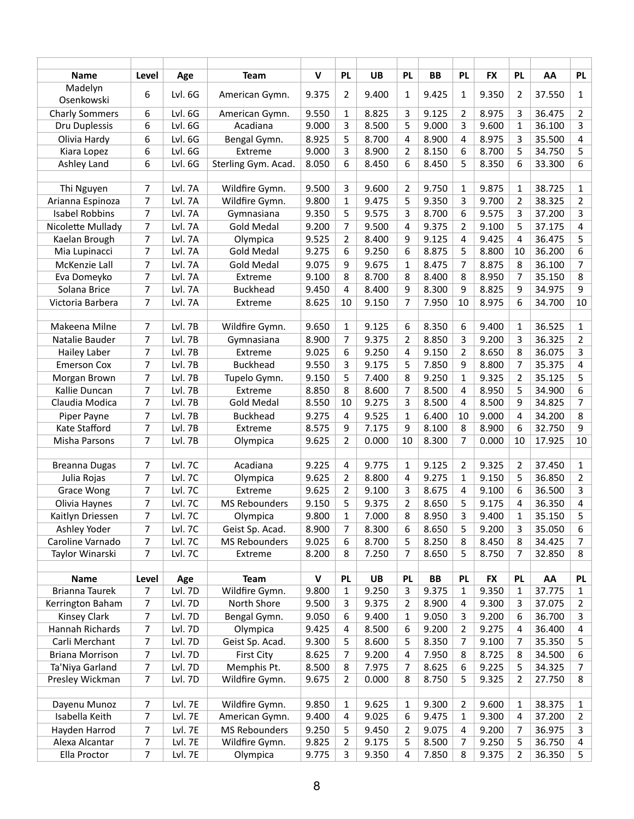| <b>Name</b>            | Level          | Age     | <b>Team</b>          | $\mathsf{v}$ | <b>PL</b>      | <b>UB</b> | <b>PL</b>               | <b>BB</b> | <b>PL</b>      | <b>FX</b> | <b>PL</b> | AA     | <b>PL</b>      |
|------------------------|----------------|---------|----------------------|--------------|----------------|-----------|-------------------------|-----------|----------------|-----------|-----------|--------|----------------|
| Madelyn<br>Osenkowski  | 6              | Lvl. 6G | American Gymn.       | 9.375        | 2              | 9.400     | 1                       | 9.425     | 1              | 9.350     | 2         | 37.550 | $\mathbf{1}$   |
| <b>Charly Sommers</b>  | 6              | Lvl. 6G | American Gymn.       | 9.550        | $\mathbf{1}$   | 8.825     | 3                       | 9.125     | $\overline{2}$ | 8.975     | 3         | 36.475 | 2              |
| Dru Duplessis          | 6              | Lvl. 6G | Acadiana             | 9.000        | 3              | 8.500     | 5                       | 9.000     | 3              | 9.600     | 1         | 36.100 | 3              |
| Olivia Hardy           | 6              | Lvl. 6G | Bengal Gymn.         | 8.925        | 5              | 8.700     | 4                       | 8.900     | 4              | 8.975     | 3         | 35.500 | 4              |
| Kiara Lopez            | 6              | Lvl. 6G | Extreme              | 9.000        | 3              | 8.900     | 2                       | 8.150     | 6              | 8.700     | 5         | 34.750 | 5              |
| Ashley Land            | 6              | Lvl. 6G | Sterling Gym. Acad.  | 8.050        | 6              | 8.450     | 6                       | 8.450     | 5              | 8.350     | 6         | 33.300 | 6              |
| Thi Nguyen             | 7              | Lvl. 7A | Wildfire Gymn.       | 9.500        | 3              | 9.600     | 2                       | 9.750     | 1              | 9.875     | 1         | 38.725 | $\mathbf{1}$   |
| Arianna Espinoza       | 7              | Lvl. 7A | Wildfire Gymn.       | 9.800        | 1              | 9.475     | 5                       | 9.350     | 3              | 9.700     | 2         | 38.325 | 2              |
| <b>Isabel Robbins</b>  | 7              | Lvl. 7A | Gymnasiana           | 9.350        | 5              | 9.575     | 3                       | 8.700     | 6              | 9.575     | 3         | 37.200 | 3              |
| Nicolette Mullady      | $\overline{7}$ | Lvl. 7A | <b>Gold Medal</b>    | 9.200        | $\overline{7}$ | 9.500     | 4                       | 9.375     | $\overline{2}$ | 9.100     | 5         | 37.175 | 4              |
| Kaelan Brough          | 7              | Lvl. 7A | Olympica             | 9.525        | $\overline{2}$ | 8.400     | 9                       | 9.125     | 4              | 9.425     | 4         | 36.475 | 5              |
| Mia Lupinacci          | 7              | Lvl. 7A | <b>Gold Medal</b>    | 9.275        | 6              | 9.250     | 6                       | 8.875     | 5              | 8.800     | 10        | 36.200 | 6              |
| McKenzie Lall          | 7              | Lvl. 7A | <b>Gold Medal</b>    | 9.075        | 9              | 9.675     | 1                       | 8.475     | 7              | 8.875     | 8         | 36.100 | 7              |
| Eva Domeyko            | 7              | Lvl. 7A | Extreme              | 9.100        | 8              | 8.700     | 8                       | 8.400     | 8              | 8.950     | 7         | 35.150 | 8              |
| Solana Brice           | 7              | Lvl. 7A | <b>Buckhead</b>      | 9.450        | 4              | 8.400     | 9                       | 8.300     | 9              | 8.825     | 9         | 34.975 | 9              |
| Victoria Barbera       | 7              | Lvl. 7A | Extreme              | 8.625        | 10             | 9.150     | 7                       | 7.950     | 10             | 8.975     | 6         | 34.700 | 10             |
| Makeena Milne          | 7              | Lvl. 7B | Wildfire Gymn.       | 9.650        | 1              | 9.125     | 6                       | 8.350     | 6              | 9.400     | 1         | 36.525 | 1              |
| Natalie Bauder         | $\overline{7}$ | Lvl. 7B | Gymnasiana           | 8.900        | 7              | 9.375     | 2                       | 8.850     | 3              | 9.200     | 3         | 36.325 | 2              |
| <b>Hailey Laber</b>    | 7              | Lvl. 7B | Extreme              | 9.025        | 6              | 9.250     | 4                       | 9.150     | $\overline{2}$ | 8.650     | 8         | 36.075 | 3              |
| <b>Emerson Cox</b>     | 7              | Lvl. 7B | <b>Buckhead</b>      | 9.550        | 3              | 9.175     | 5                       | 7.850     | 9              | 8.800     | 7         | 35.375 | 4              |
| Morgan Brown           | 7              | Lvl. 7B | Tupelo Gymn.         | 9.150        | 5              | 7.400     | 8                       | 9.250     | 1              | 9.325     | 2         | 35.125 | 5              |
| Kallie Duncan          | 7              | Lvl. 7B | Extreme              | 8.850        | 8              | 8.600     | $\overline{7}$          | 8.500     | 4              | 8.950     | 5         | 34.900 | 6              |
| Claudia Modica         | 7              | Lvl. 7B | <b>Gold Medal</b>    | 8.550        | 10             | 9.275     | 3                       | 8.500     | $\overline{4}$ | 8.500     | 9         | 34.825 | 7              |
| Piper Payne            | 7              | Lvl. 7B | <b>Buckhead</b>      | 9.275        | $\overline{4}$ | 9.525     | 1                       | 6.400     | 10             | 9.000     | 4         | 34.200 | 8              |
| Kate Stafford          | 7              | Lvl. 7B | Extreme              | 8.575        | 9              | 7.175     | 9                       | 8.100     | 8              | 8.900     | 6         | 32.750 | 9              |
| Misha Parsons          | 7              | Lvl. 7B | Olympica             | 9.625        | 2              | 0.000     | 10                      | 8.300     | 7              | 0.000     | 10        | 17.925 | 10             |
|                        |                |         |                      |              |                |           |                         |           |                |           |           |        |                |
| <b>Breanna Dugas</b>   | 7              | Lvl. 7C | Acadiana             | 9.225        | 4              | 9.775     | 1                       | 9.125     | 2              | 9.325     | 2         | 37.450 | 1              |
| Julia Rojas            | $\overline{7}$ | Lvl. 7C | Olympica             | 9.625        | $\overline{2}$ | 8.800     | 4                       | 9.275     | 1              | 9.150     | 5         | 36.850 | $\overline{2}$ |
| <b>Grace Wong</b>      | 7              | Lvl. 7C | Extreme              | 9.625        | 2              | 9.100     | 3                       | 8.675     | 4              | 9.100     | 6         | 36.500 | 3              |
| Olivia Haynes          | 7              | Lvl. 7C | <b>MS Rebounders</b> | 9.150        | 5              | 9.375     | $\overline{2}$          | 8.650     | 5              | 9.175     | 4         | 36.350 | 4              |
| Kaitlyn Driessen       | 7              | Lvl. 7C | Olympica             | 9.800        | $\mathbf{1}$   | 7.000     | 8                       | 8.950     | 3              | 9.400     | 1         | 35.150 | 5              |
| Ashley Yoder           | 7              | Lvl. 7C | Geist Sp. Acad.      | 8.900        | 7              | 8.300     | 6                       | 8.650     | 5              | 9.200     | 3         | 35.050 | 6              |
| Caroline Varnado       | 7              | Lvl. 7C | <b>MS Rebounders</b> | 9.025        | 6              | 8.700     | 5                       | 8.250     | 8              | 8.450     | 8         | 34.425 | 7              |
| Taylor Winarski        | 7              | Lvl. 7C | Extreme              | 8.200        | 8              | 7.250     | 7                       | 8.650     | 5              | 8.750     | 7         | 32.850 | 8              |
|                        |                |         |                      |              |                |           |                         |           |                |           |           |        |                |
| <b>Name</b>            | Level          | Age     | <b>Team</b>          | $\mathsf{v}$ | <b>PL</b>      | <b>UB</b> | <b>PL</b>               | <b>BB</b> | <b>PL</b>      | <b>FX</b> | <b>PL</b> | AA     | <b>PL</b>      |
| <b>Brianna Taurek</b>  | 7<br>7         | Lvl. 7D | Wildfire Gymn.       | 9.800        | $\mathbf{1}$   | 9.250     | 3                       | 9.375     | $\mathbf{1}$   | 9.350     | 1         | 37.775 | $\mathbf{1}$   |
| Kerrington Baham       |                | Lvl. 7D | North Shore          | 9.500        | 3              | 9.375     | $\overline{2}$          | 8.900     | 4              | 9.300     | 3         | 37.075 | 2              |
| Kinsey Clark           | 7              | Lvl. 7D | Bengal Gymn.         | 9.050        | 6              | 9.400     | 1                       | 9.050     | 3              | 9.200     | 6         | 36.700 | 3              |
| Hannah Richards        | 7              | Lvl. 7D | Olympica             | 9.425        | 4              | 8.500     | 6                       | 9.200     | 2              | 9.275     | 4         | 36.400 | 4              |
| Carli Merchant         | 7              | Lvl. 7D | Geist Sp. Acad.      | 9.300        | 5              | 8.600     | 5                       | 8.350     | 7              | 9.100     | 7         | 35.350 | 5              |
| <b>Briana Morrison</b> | 7              | Lvl. 7D | <b>First City</b>    | 8.625        | 7              | 9.200     | $\overline{\mathbf{4}}$ | 7.950     | 8              | 8.725     | 8         | 34.500 | 6              |
| Ta'Niya Garland        | 7              | Lvl. 7D | Memphis Pt.          | 8.500        | 8              | 7.975     | 7                       | 8.625     | 6              | 9.225     | 5         | 34.325 | 7              |
| Presley Wickman        | $\overline{7}$ | Lvl. 7D | Wildfire Gymn.       | 9.675        | $\overline{2}$ | 0.000     | 8                       | 8.750     | 5              | 9.325     | 2         | 27.750 | 8              |
| Dayenu Munoz           | 7              | Lvl. 7E | Wildfire Gymn.       | 9.850        | $\mathbf{1}$   | 9.625     | $\mathbf{1}$            | 9.300     | 2              | 9.600     | 1         | 38.375 | 1              |
| Isabella Keith         | 7              | Lvl. 7E | American Gymn.       | 9.400        | 4              | 9.025     | 6                       | 9.475     | 1              | 9.300     | 4         | 37.200 | 2              |
| Hayden Harrod          | 7              | Lvl. 7E | <b>MS Rebounders</b> | 9.250        | 5              | 9.450     | $\overline{2}$          | 9.075     | 4              | 9.200     | 7         | 36.975 | 3              |
| Alexa Alcantar         | 7              | Lvl. 7E | Wildfire Gymn.       | 9.825        | 2              | 9.175     | 5                       | 8.500     | 7              | 9.250     | 5         | 36.750 | 4              |
| Ella Proctor           | 7              | Lvl. 7E | Olympica             | 9.775        | 3              | 9.350     | 4                       | 7.850     | 8              | 9.375     | 2         | 36.350 | 5              |
|                        |                |         |                      |              |                |           |                         |           |                |           |           |        |                |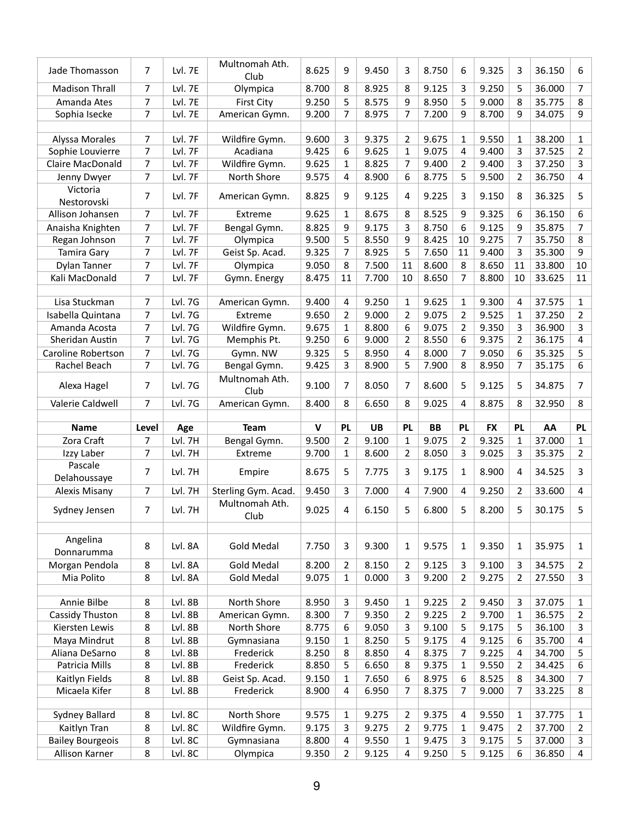| Jade Thomasson          | $\overline{7}$ | Lvl. 7E        | Multnomah Ath.<br>Club | 8.625       | 9              | 9.450     | 3              | 8.750     | 6              | 9.325     | 3              | 36.150 | 6                       |
|-------------------------|----------------|----------------|------------------------|-------------|----------------|-----------|----------------|-----------|----------------|-----------|----------------|--------|-------------------------|
| <b>Madison Thrall</b>   | $\overline{7}$ | Lvl. 7E        | Olympica               | 8.700       | 8              | 8.925     | 8              | 9.125     | 3              | 9.250     | 5              | 36.000 | $\overline{7}$          |
| Amanda Ates             | 7              | Lvl. 7E        | <b>First City</b>      | 9.250       | 5              | 8.575     | 9              | 8.950     | 5              | 9.000     | 8              | 35.775 | 8                       |
| Sophia Isecke           | 7              | Lvl. 7E        | American Gymn.         | 9.200       | 7              | 8.975     | 7              | 7.200     | 9              | 8.700     | 9              | 34.075 | 9                       |
|                         |                |                |                        |             |                |           |                |           |                |           |                |        |                         |
| Alyssa Morales          | 7              | Lvl. 7F        | Wildfire Gymn.         | 9.600       | 3              | 9.375     | $\overline{2}$ | 9.675     | 1              | 9.550     | 1              | 38.200 | 1                       |
| Sophie Louvierre        | $\overline{7}$ | Lvl. 7F        | Acadiana               | 9.425       | 6              | 9.625     | $\mathbf{1}$   | 9.075     | 4              | 9.400     | 3              | 37.525 | $\overline{2}$          |
| <b>Claire MacDonald</b> | 7              | Lvl. 7F        | Wildfire Gymn.         | 9.625       | 1              | 8.825     | 7              | 9.400     | 2              | 9.400     | 3              | 37.250 | 3                       |
| Jenny Dwyer             | 7              | Lvl. 7F        | North Shore            | 9.575       | 4              | 8.900     | 6              | 8.775     | 5              | 9.500     | $\overline{2}$ | 36.750 | 4                       |
| Victoria                | $\overline{7}$ | Lvl. 7F        |                        |             | 9              |           |                |           |                |           |                | 36.325 |                         |
| Nestorovski             |                |                | American Gymn.         | 8.825       |                | 9.125     | 4              | 9.225     | 3              | 9.150     | 8              |        | 5                       |
| Allison Johansen        | $\overline{7}$ | Lvl. 7F        | Extreme                | 9.625       | $\mathbf{1}$   | 8.675     | 8              | 8.525     | 9              | 9.325     | 6              | 36.150 | 6                       |
| Anaisha Knighten        | 7              | Lvl. 7F        | Bengal Gymn.           | 8.825       | 9              | 9.175     | 3              | 8.750     | 6              | 9.125     | 9              | 35.875 | 7                       |
| Regan Johnson           | $\overline{7}$ | Lvl. 7F        | Olympica               | 9.500       | 5              | 8.550     | 9              | 8.425     | 10             | 9.275     | 7              | 35.750 | 8                       |
| <b>Tamira Gary</b>      | $\overline{7}$ | Lvl. 7F        | Geist Sp. Acad.        | 9.325       | $\overline{7}$ | 8.925     | 5              | 7.650     | 11             | 9.400     | 3              | 35.300 | 9                       |
| Dylan Tanner            | 7              | Lvl. 7F        | Olympica               | 9.050       | 8              | 7.500     | 11             | 8.600     | 8              | 8.650     | 11             | 33.800 | 10                      |
| Kali MacDonald          | 7              | Lvl. 7F        | Gymn. Energy           | 8.475       | 11             | 7.700     | 10             | 8.650     | 7              | 8.800     | 10             | 33.625 | 11                      |
|                         |                |                |                        |             |                |           |                |           |                |           |                |        |                         |
| Lisa Stuckman           | 7              | <b>Lvl. 7G</b> | American Gymn.         | 9.400       | 4              | 9.250     | $\mathbf{1}$   | 9.625     | 1              | 9.300     | 4              | 37.575 | $\mathbf{1}$            |
| Isabella Quintana       | $\overline{7}$ | <b>Lvl. 7G</b> | Extreme                | 9.650       | $\overline{2}$ | 9.000     | 2              | 9.075     | 2              | 9.525     | $\mathbf{1}$   | 37.250 | 2                       |
| Amanda Acosta           | $\overline{7}$ | <b>Lvl. 7G</b> | Wildfire Gymn.         | 9.675       | $\mathbf{1}$   | 8.800     | 6              | 9.075     | $\overline{2}$ | 9.350     | 3              | 36.900 | 3                       |
| Sheridan Austin         | 7              | Lvl. 7G        | Memphis Pt.            | 9.250       | 6              | 9.000     | $\overline{2}$ | 8.550     | 6              | 9.375     | 2              | 36.175 | 4                       |
| Caroline Robertson      | 7              | <b>Lvl. 7G</b> | Gymn. NW               | 9.325       | 5              | 8.950     | 4              | 8.000     | 7              | 9.050     | 6              | 35.325 | 5                       |
| Rachel Beach            | 7              | Lvl. 7G        | Bengal Gymn.           | 9.425       | 3              | 8.900     | 5              | 7.900     | 8              | 8.950     | 7              | 35.175 | 6                       |
|                         |                |                | Multnomah Ath.         |             |                |           |                |           |                |           |                |        |                         |
| Alexa Hagel             | $\overline{7}$ | Lvl. 7G        | Club                   | 9.100       | $\overline{7}$ | 8.050     | $\overline{7}$ | 8.600     | 5              | 9.125     | 5              | 34.875 | $\overline{7}$          |
| Valerie Caldwell        | $\overline{7}$ | <b>Lvl. 7G</b> | American Gymn.         | 8.400       | 8              | 6.650     | 8              | 9.025     | 4              | 8.875     | 8              | 32.950 | 8                       |
|                         |                |                |                        |             |                |           |                |           |                |           |                |        |                         |
|                         |                |                |                        |             |                |           |                |           |                |           |                |        |                         |
| <b>Name</b>             | Level          | Age            | <b>Team</b>            | $\mathbf v$ | <b>PL</b>      | <b>UB</b> | <b>PL</b>      | <b>BB</b> | <b>PL</b>      | <b>FX</b> | <b>PL</b>      | AA     | <b>PL</b>               |
| Zora Craft              | 7              | Lvl. 7H        | Bengal Gymn.           | 9.500       | $\overline{2}$ | 9.100     | $\mathbf{1}$   | 9.075     | $\overline{2}$ | 9.325     | 1              | 37.000 | 1                       |
| Izzy Laber              | $\overline{7}$ | Lvl. 7H        | Extreme                | 9.700       | $\mathbf{1}$   | 8.600     | $\overline{2}$ | 8.050     | 3              | 9.025     | 3              | 35.375 | 2                       |
| Pascale                 |                |                |                        |             |                |           |                |           |                |           |                |        |                         |
| Delahoussaye            | $\overline{7}$ | Lvl. 7H        | Empire                 | 8.675       | 5              | 7.775     | 3              | 9.175     | 1              | 8.900     | 4              | 34.525 | 3                       |
| <b>Alexis Misany</b>    | 7              | Lvl. 7H        | Sterling Gym. Acad.    | 9.450       | 3              | 7.000     | 4              | 7.900     | 4              | 9.250     | $\overline{2}$ | 33.600 | $\overline{\mathbf{4}}$ |
|                         |                |                | Multnomah Ath.         |             |                |           |                |           |                |           |                |        |                         |
| Sydney Jensen           | $\overline{7}$ | Lvl. 7H        | Club                   | 9.025       | $\overline{a}$ | 6.150     | 5              | 6.800     | 5              | 8.200     | 5              | 30.175 | 5                       |
|                         |                |                |                        |             |                |           |                |           |                |           |                |        |                         |
| Angelina                |                |                |                        |             |                |           |                |           |                |           |                |        |                         |
| Donnarumma              | 8              | Lvl. 8A        | <b>Gold Medal</b>      | 7.750       | 3              | 9.300     | 1              | 9.575     | 1              | 9.350     | 1              | 35.975 | $\mathbf{1}$            |
| Morgan Pendola          | 8              | Lvl. 8A        | <b>Gold Medal</b>      | 8.200       | $\overline{2}$ | 8.150     | $\overline{2}$ | 9.125     | 3              | 9.100     | 3              | 34.575 | 2                       |
| Mia Polito              | 8              | Lvl. 8A        | <b>Gold Medal</b>      | 9.075       | $\mathbf 1$    | 0.000     | 3              | 9.200     | 2              | 9.275     | 2              | 27.550 | 3                       |
|                         |                |                |                        |             |                |           |                |           |                |           |                |        |                         |
| Annie Bilbe             | 8              | Lvl. 8B        | North Shore            | 8.950       | 3              | 9.450     | $\mathbf 1$    | 9.225     | $\overline{2}$ | 9.450     | 3              | 37.075 | 1                       |
| Cassidy Thuston         | 8              | Lvl. 8B        | American Gymn.         | 8.300       | 7              | 9.350     | $\overline{2}$ | 9.225     | $\overline{2}$ | 9.700     | 1              | 36.575 | 2                       |
| Kiersten Lewis          | 8              | Lvl. 8B        | North Shore            | 8.775       | 6              | 9.050     | 3              | 9.100     | 5              | 9.175     | 5              | 36.100 | 3                       |
| Maya Mindrut            | 8              | Lvl. 8B        | Gymnasiana             | 9.150       | $\mathbf{1}$   | 8.250     | 5              | 9.175     | 4              | 9.125     | 6              | 35.700 | 4                       |
| Aliana DeSarno          | 8              | Lvl. 8B        | Frederick              | 8.250       | 8              | 8.850     | 4              | 8.375     | 7              | 9.225     | 4              | 34.700 | 5                       |
| Patricia Mills          | 8              | Lvl. 8B        | Frederick              | 8.850       | 5              | 6.650     | 8              | 9.375     | $\mathbf 1$    | 9.550     | 2              | 34.425 | 6                       |
| Kaitlyn Fields          | 8              | Lvl. 8B        | Geist Sp. Acad.        | 9.150       | $\mathbf{1}$   | 7.650     | 6              | 8.975     | 6              | 8.525     | 8              | 34.300 | 7                       |
| Micaela Kifer           | 8              | Lvl. 8B        | Frederick              | 8.900       | 4              | 6.950     | 7              | 8.375     | 7              | 9.000     | 7              | 33.225 | 8                       |
|                         |                |                |                        |             |                |           |                |           |                |           |                |        |                         |
| <b>Sydney Ballard</b>   | 8              | Lvl. 8C        | North Shore            | 9.575       | 1              | 9.275     | 2              | 9.375     | 4              | 9.550     | 1              | 37.775 | 1                       |
| Kaitlyn Tran            | 8              | Lvl. 8C        | Wildfire Gymn.         | 9.175       | 3              | 9.275     | $\overline{2}$ | 9.775     | $\mathbf{1}$   | 9.475     | 2              | 37.700 | 2                       |
| <b>Bailey Bourgeois</b> | 8              | Lvl. 8C        | Gymnasiana             | 8.800       | 4              | 9.550     | 1              | 9.475     | 3              | 9.175     | 5              | 37.000 | 3                       |
| Allison Karner          | 8              | Lvl. 8C        | Olympica               | 9.350       | $\overline{2}$ | 9.125     | $\overline{4}$ | 9.250     | 5              | 9.125     | 6              | 36.850 | $\overline{\mathbf{4}}$ |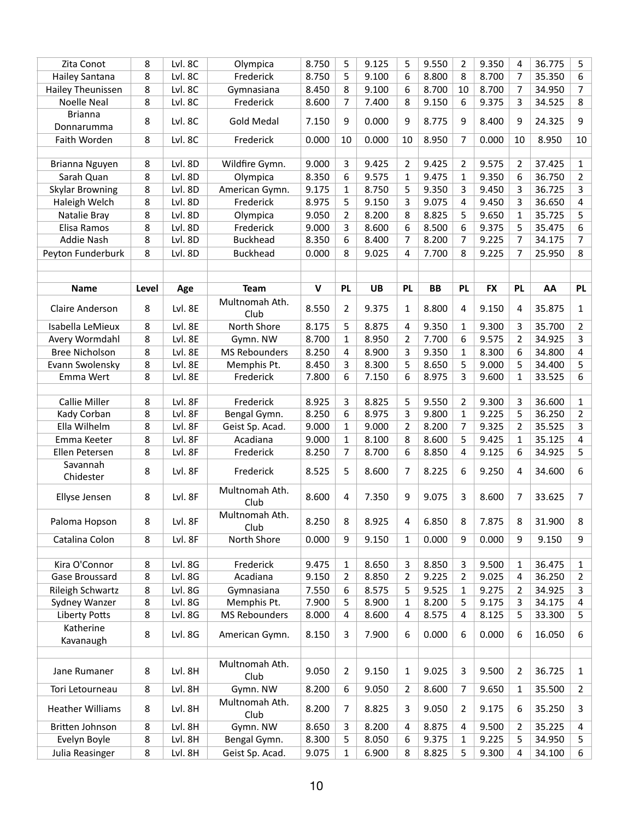| Zita Conot                   | 8       | Lvl. 8C | Olympica               | 8.750       | 5              | 9.125     | 5              | 9.550     | 2              | 9.350     | 4              | 36.775 | 5                       |
|------------------------------|---------|---------|------------------------|-------------|----------------|-----------|----------------|-----------|----------------|-----------|----------------|--------|-------------------------|
| Hailey Santana               | 8       | Lvl. 8C | Frederick              | 8.750       | 5              | 9.100     | 6              | 8.800     | 8              | 8.700     | 7              | 35.350 | 6                       |
| Hailey Theunissen            | 8       | Lvl. 8C | Gymnasiana             | 8.450       | 8              | 9.100     | 6              | 8.700     | 10             | 8.700     | 7              | 34.950 | 7                       |
| <b>Noelle Neal</b>           | 8       | Lvl. 8C | Frederick              | 8.600       | 7              | 7.400     | 8              | 9.150     | 6              | 9.375     | 3              | 34.525 | 8                       |
| <b>Brianna</b><br>Donnarumma | 8       | Lvl. 8C | <b>Gold Medal</b>      | 7.150       | 9              | 0.000     | 9              | 8.775     | 9              | 8.400     | 9              | 24.325 | 9                       |
| Faith Worden                 | 8       | Lvl. 8C | Frederick              | 0.000       | 10             | 0.000     | 10             | 8.950     | 7              | 0.000     | 10             | 8.950  | 10                      |
|                              |         |         |                        |             |                |           |                |           |                |           |                |        |                         |
| Brianna Nguyen               | 8       | Lvl. 8D | Wildfire Gymn.         | 9.000       | 3              | 9.425     | $\overline{2}$ | 9.425     | 2              | 9.575     | $\overline{2}$ | 37.425 | $\mathbf{1}$            |
| Sarah Quan                   | 8       | Lvl. 8D | Olympica               | 8.350       | 6              | 9.575     | $\mathbf{1}$   | 9.475     | 1              | 9.350     | 6              | 36.750 | 2                       |
| <b>Skylar Browning</b>       | 8       | Lvl. 8D | American Gymn.         | 9.175       | $\mathbf{1}$   | 8.750     | 5              | 9.350     | 3              | 9.450     | 3              | 36.725 | 3                       |
| Haleigh Welch                | 8       | Lvl. 8D | Frederick              | 8.975       | 5              | 9.150     | 3              | 9.075     | $\overline{4}$ | 9.450     | 3              | 36.650 | 4                       |
| Natalie Bray                 | 8       | Lvl. 8D | Olympica               | 9.050       | 2              | 8.200     | 8              | 8.825     | 5              | 9.650     | $\mathbf{1}$   | 35.725 | 5                       |
| Elisa Ramos                  | 8       | Lvl. 8D | Frederick              | 9.000       | 3              | 8.600     | 6              | 8.500     | 6              | 9.375     | 5              | 35.475 | 6                       |
| <b>Addie Nash</b>            | 8       | Lvl. 8D | <b>Buckhead</b>        | 8.350       | 6              | 8.400     | 7              | 8.200     | 7              | 9.225     | 7              | 34.175 | 7                       |
| Peyton Funderburk            | 8       | Lvl. 8D | <b>Buckhead</b>        | 0.000       | 8              | 9.025     | 4              | 7.700     | 8              | 9.225     | 7              | 25.950 | 8                       |
|                              |         |         |                        |             |                |           |                |           |                |           |                |        |                         |
|                              |         |         |                        |             |                |           |                |           |                |           |                |        |                         |
| <b>Name</b>                  | Level   | Age     | <b>Team</b>            | $\mathbf v$ | <b>PL</b>      | <b>UB</b> | <b>PL</b>      | <b>BB</b> | PL             | <b>FX</b> | <b>PL</b>      | AA     | <b>PL</b>               |
| <b>Claire Anderson</b>       | 8       | Lvl. 8E | Multnomah Ath.<br>Club | 8.550       | $\overline{2}$ | 9.375     | $\mathbf{1}$   | 8.800     | 4              | 9.150     | 4              | 35.875 | 1                       |
| Isabella LeMieux             | 8       | Lvl. 8E | North Shore            | 8.175       | 5              | 8.875     | 4              | 9.350     | 1              | 9.300     | 3              | 35.700 | 2                       |
| Avery Wormdahl               | 8       | Lvl. 8E | Gymn. NW               | 8.700       | 1              | 8.950     | $\overline{2}$ | 7.700     | 6              | 9.575     | 2              | 34.925 | 3                       |
| <b>Bree Nicholson</b>        | 8       | Lvl. 8E | <b>MS Rebounders</b>   | 8.250       | 4              | 8.900     | 3              | 9.350     | $\mathbf{1}$   | 8.300     | 6              | 34.800 | $\overline{\mathbf{4}}$ |
| Evann Swolensky              | 8       | Lvl. 8E | Memphis Pt.            | 8.450       | 3              | 8.300     | 5              | 8.650     | 5              | 9.000     | 5              | 34.400 | 5                       |
| Emma Wert                    | 8       | Lvl. 8E | Frederick              | 7.800       | 6              | 7.150     | 6              | 8.975     | 3              | 9.600     | 1              | 33.525 | 6                       |
|                              |         |         |                        |             |                |           |                |           |                |           |                |        |                         |
| <b>Callie Miller</b>         | 8       | Lvl. 8F | Frederick              | 8.925       | 3              | 8.825     | 5              | 9.550     | $\overline{2}$ | 9.300     | 3              | 36.600 | $\mathbf{1}$            |
| Kady Corban                  | 8       | Lvl. 8F | Bengal Gymn.           | 8.250       | 6              | 8.975     | 3              | 9.800     | $\mathbf{1}$   | 9.225     | 5              | 36.250 | 2                       |
| Ella Wilhelm                 | 8       | Lvl. 8F | Geist Sp. Acad.        | 9.000       | $\mathbf{1}$   | 9.000     | 2              | 8.200     | 7              | 9.325     | 2              | 35.525 | 3                       |
| Emma Keeter                  | 8       | Lvl. 8F | Acadiana               | 9.000       | $\mathbf{1}$   | 8.100     | 8              | 8.600     | 5              | 9.425     | 1              | 35.125 | 4                       |
| Ellen Petersen               | 8       | Lvl. 8F | Frederick              | 8.250       | $\overline{7}$ | 8.700     | 6              | 8.850     | 4              | 9.125     | 6              | 34.925 | 5                       |
| Savannah<br>Chidester        | 8       | Lvl. 8F | Frederick              | 8.525       | 5              | 8.600     | 7              | 8.225     | 6              | 9.250     | 4              | 34.600 | 6                       |
| Ellyse Jensen                | 8       | Lvl. 8F | Multnomah Ath.<br>Club | 8.600       | 4              | 7.350     | 9              | 9.075     | 3              | 8.600     | 7              | 33.625 | 7                       |
| Paloma Hopson                | 8       | Lvl. 8F | Multnomah Ath.<br>Club | 8.250       | 8              | 8.925     | 4              | 6.850     | 8              | 7.875     | 8              | 31.900 | 8                       |
| Catalina Colon               | 8       | Lvl. 8F | North Shore            | 0.000       | 9              | 9.150     | $\mathbf{1}$   | 0.000     | 9              | 0.000     | 9              | 9.150  | 9                       |
|                              |         |         |                        |             |                |           |                |           |                |           |                |        |                         |
| Kira O'Connor                | 8       | Lvl. 8G | Frederick              | 9.475       | 1              | 8.650     | 3              | 8.850     | 3              | 9.500     | 1              | 36.475 | 1                       |
| Gase Broussard               | 8       | Lvl. 8G | Acadiana               | 9.150       | $\overline{2}$ | 8.850     | $\overline{2}$ | 9.225     | 2              | 9.025     | 4              | 36.250 | 2                       |
| Rileigh Schwartz             | 8       | Lvl. 8G | Gymnasiana             | 7.550       | 6              | 8.575     | 5              | 9.525     | $\mathbf{1}$   | 9.275     | 2              | 34.925 | 3                       |
| Sydney Wanzer                | 8       | Lvl. 8G | Memphis Pt.            | 7.900       | 5              | 8.900     | $\mathbf{1}$   | 8.200     | 5              | 9.175     | 3              | 34.175 | 4                       |
| <b>Liberty Potts</b>         | 8       | Lvl. 8G | <b>MS Rebounders</b>   | 8.000       | 4              | 8.600     | 4              | 8.575     | 4              | 8.125     | 5              | 33.300 | 5                       |
| Katherine<br>Kavanaugh       | 8       | Lvl. 8G | American Gymn.         | 8.150       | 3              | 7.900     | 6              | 0.000     | 6              | 0.000     | 6              | 16.050 | 6                       |
|                              |         |         |                        |             |                |           |                |           |                |           |                |        |                         |
| Jane Rumaner                 | 8       | Lvl. 8H | Multnomah Ath.<br>Club | 9.050       | $\overline{2}$ | 9.150     | $\mathbf{1}$   | 9.025     | 3              | 9.500     | $\overline{2}$ | 36.725 | $\mathbf{1}$            |
| Tori Letourneau              | 8       | Lvl. 8H | Gymn. NW               | 8.200       | 6              | 9.050     | $\overline{2}$ | 8.600     | 7              | 9.650     | 1              | 35.500 | 2                       |
| <b>Heather Williams</b>      | 8       | Lvl. 8H | Multnomah Ath.<br>Club | 8.200       | 7              | 8.825     | 3              | 9.050     | 2              | 9.175     | 6              | 35.250 | 3                       |
| Britten Johnson              | $\,8\,$ | Lvl. 8H | Gymn. NW               | 8.650       | 3              | 8.200     | 4              | 8.875     | 4              | 9.500     | 2              | 35.225 | 4                       |
| Evelyn Boyle                 | 8       | Lvl. 8H | Bengal Gymn.           | 8.300       | 5              | 8.050     | 6              | 9.375     | 1              | 9.225     | 5              | 34.950 | 5                       |
| Julia Reasinger              | 8       | Lvl. 8H | Geist Sp. Acad.        | 9.075       | $\mathbf{1}$   | 6.900     | 8              | 8.825     | 5              | 9.300     | 4              | 34.100 | 6                       |
|                              |         |         |                        |             |                |           |                |           |                |           |                |        |                         |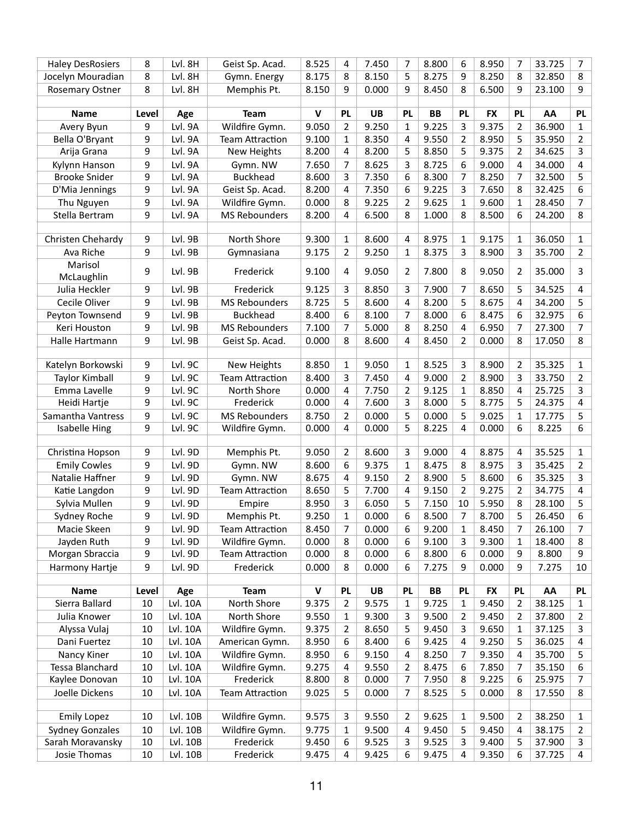| <b>Haley DesRosiers</b> | 8     | Lvl. 8H  | Geist Sp. Acad.        | 8.525        | 4              | 7.450     | 7              | 8.800     | 6              | 8.950     | 7              | 33.725 | 7            |
|-------------------------|-------|----------|------------------------|--------------|----------------|-----------|----------------|-----------|----------------|-----------|----------------|--------|--------------|
| Jocelyn Mouradian       | 8     | Lvl. 8H  | Gymn. Energy           | 8.175        | 8              | 8.150     | 5              | 8.275     | 9              | 8.250     | 8              | 32.850 | 8            |
| <b>Rosemary Ostner</b>  | 8     | Lvl. 8H  | Memphis Pt.            | 8.150        | 9              | 0.000     | 9              | 8.450     | 8              | 6.500     | 9              | 23.100 | 9            |
| <b>Name</b>             | Level | Age      | <b>Team</b>            | $\mathsf{v}$ | <b>PL</b>      | <b>UB</b> | <b>PL</b>      | <b>BB</b> | <b>PL</b>      | <b>FX</b> | <b>PL</b>      | AA     | <b>PL</b>    |
| Avery Byun              | 9     | Lvl. 9A  | Wildfire Gymn.         | 9.050        | $\overline{2}$ | 9.250     | 1              | 9.225     | 3              | 9.375     | 2              | 36.900 | 1            |
| Bella O'Bryant          | 9     | Lvl. 9A  | <b>Team Attraction</b> | 9.100        | $\mathbf{1}$   | 8.350     | 4              | 9.550     | $\overline{2}$ | 8.950     | 5              | 35.950 | 2            |
| Arija Grana             | 9     | Lvl. 9A  | New Heights            | 8.200        | $\overline{4}$ | 8.200     | 5              | 8.850     | 5              | 9.375     | 2              | 34.625 | 3            |
| Kylynn Hanson           | 9     | Lvl. 9A  | Gymn. NW               | 7.650        | 7              | 8.625     | 3              | 8.725     | 6              | 9.000     | 4              | 34.000 | 4            |
| <b>Brooke Snider</b>    | 9     | Lvl. 9A  | <b>Buckhead</b>        | 8.600        | 3              | 7.350     | 6              | 8.300     | 7              | 8.250     | 7              | 32.500 | 5            |
| D'Mia Jennings          | 9     | Lvl. 9A  | Geist Sp. Acad.        | 8.200        | 4              | 7.350     | 6              | 9.225     | 3              | 7.650     | 8              | 32.425 | 6            |
| Thu Nguyen              | 9     | Lvl. 9A  | Wildfire Gymn.         | 0.000        | 8              | 9.225     | 2              | 9.625     | 1              | 9.600     | 1              | 28.450 | 7            |
| Stella Bertram          | 9     | Lvl. 9A  | <b>MS Rebounders</b>   | 8.200        | 4              | 6.500     | 8              | 1.000     | 8              | 8.500     | 6              | 24.200 | 8            |
|                         |       |          |                        |              |                |           |                |           |                |           |                |        |              |
| Christen Chehardy       | 9     | Lvl. 9B  | North Shore            | 9.300        | 1              | 8.600     | 4              | 8.975     | 1              | 9.175     | 1              | 36.050 | $\mathbf{1}$ |
| Ava Riche               | 9     | Lvl. 9B  | Gymnasiana             | 9.175        | $\overline{2}$ | 9.250     | 1              | 8.375     | 3              | 8.900     | 3              | 35.700 | 2            |
| Marisol<br>McLaughlin   | 9     | Lvl. 9B  | Frederick              | 9.100        | 4              | 9.050     | $\overline{2}$ | 7.800     | 8              | 9.050     | $\overline{2}$ | 35.000 | 3            |
| Julia Heckler           | 9     | Lvl. 9B  | Frederick              | 9.125        | 3              | 8.850     | 3              | 7.900     | 7              | 8.650     | 5              | 34.525 | 4            |
| Cecile Oliver           | 9     | Lvl. 9B  | <b>MS Rebounders</b>   | 8.725        | 5              | 8.600     | 4              | 8.200     | 5              | 8.675     | 4              | 34.200 | 5            |
| Peyton Townsend         | 9     | Lvl. 9B  | <b>Buckhead</b>        | 8.400        | 6              | 8.100     | 7              | 8.000     | 6              | 8.475     | 6              | 32.975 | 6            |
| Keri Houston            | 9     | Lvl. 9B  | <b>MS Rebounders</b>   | 7.100        | 7              | 5.000     | 8              | 8.250     | 4              | 6.950     | 7              | 27.300 | 7            |
| Halle Hartmann          | 9     | Lvl. 9B  | Geist Sp. Acad.        | 0.000        | 8              | 8.600     | 4              | 8.450     | 2              | 0.000     | 8              | 17.050 | 8            |
|                         |       |          |                        |              |                |           |                |           |                |           |                |        |              |
| Katelyn Borkowski       | 9     | Lvl. 9C  | New Heights            | 8.850        | $\mathbf{1}$   | 9.050     | 1              | 8.525     | 3              | 8.900     | 2              | 35.325 | $\mathbf{1}$ |
| <b>Taylor Kimball</b>   | 9     | Lvl. 9C  | <b>Team Attraction</b> | 8.400        | 3              | 7.450     | 4              | 9.000     | 2              | 8.900     | 3              | 33.750 | 2            |
| Emma Lavelle            | 9     | Lvl. 9C  | North Shore            | 0.000        | 4              | 7.750     | $\overline{2}$ | 9.125     | $\mathbf{1}$   | 8.850     | 4              | 25.725 | 3            |
| Heidi Hartje            | 9     | Lvl. 9C  | Frederick              | 0.000        | $\overline{4}$ | 7.600     | 3              | 8.000     | 5              | 8.775     | 5              | 24.375 | 4            |
| Samantha Vantress       | 9     | Lvl. 9C  | <b>MS Rebounders</b>   | 8.750        | $\overline{2}$ | 0.000     | 5              | 0.000     | 5              | 9.025     | $\mathbf{1}$   | 17.775 | 5            |
| <b>Isabelle Hing</b>    | 9     | Lvl. 9C  | Wildfire Gymn.         | 0.000        | 4              | 0.000     | 5              | 8.225     | 4              | 0.000     | 6              | 8.225  | 6            |
|                         |       |          |                        |              |                |           |                |           |                |           |                |        |              |
| Christina Hopson        | 9     | Lvl. 9D  | Memphis Pt.            | 9.050        | 2              | 8.600     | 3              | 9.000     | 4              | 8.875     | 4              | 35.525 | $\mathbf{1}$ |
| <b>Emily Cowles</b>     | 9     | Lvl. 9D  | Gymn. NW               | 8.600        | 6              | 9.375     | $\mathbf{1}$   | 8.475     | 8              | 8.975     | 3              | 35.425 | 2            |
| Natalie Haffner         | 9     | Lvl. 9D  | Gymn. NW               | 8.675        | 4              | 9.150     | 2              | 8.900     | 5              | 8.600     | 6              | 35.325 | 3            |
| Katie Langdon           | 9     | Lvl. 9D  | <b>Team Attraction</b> | 8.650        | 5              | 7.700     | 4              | 9.150     | $\overline{2}$ | 9.275     | 2              | 34.775 | 4            |
| Sylvia Mullen           | 9     | Lvl. 9D  | Empire                 | 8.950        | 3              | 6.050     | 5              | 7.150     | 10             | 5.950     | 8              | 28.100 | 5            |
| Sydney Roche            | 9     | Lvl. 9D  | Memphis Pt.            | 9.250        | $\mathbf{1}$   | 0.000     | 6              | 8.500     | $\overline{7}$ | 8.700     | 5              | 26.450 | 6            |
| Macie Skeen             | 9     | Lvl. 9D  | <b>Team Attraction</b> | 8.450        | 7              | 0.000     | 6              | 9.200     | 1              | 8.450     | 7              | 26.100 | 7            |
| Jayden Ruth             | 9     | Lvl. 9D  | Wildfire Gymn.         | 0.000        | 8              | 0.000     | 6              | 9.100     | 3              | 9.300     | 1              | 18.400 | 8            |
| Morgan Sbraccia         | 9     | Lvl. 9D  | <b>Team Attraction</b> | 0.000        | 8              | 0.000     | 6              | 8.800     | 6              | 0.000     | 9              | 8.800  | 9            |
| Harmony Hartje          | 9     | Lvl. 9D  | Frederick              | 0.000        | 8              | 0.000     | 6              | 7.275     | 9              | 0.000     | 9              | 7.275  | 10           |
| <b>Name</b>             | Level | Age      | <b>Team</b>            | $\mathbf v$  | <b>PL</b>      | <b>UB</b> | <b>PL</b>      | <b>BB</b> | <b>PL</b>      | <b>FX</b> | <b>PL</b>      | AA     | <b>PL</b>    |
| Sierra Ballard          | 10    | Lvl. 10A | North Shore            | 9.375        | 2              | 9.575     | $\mathbf{1}$   | 9.725     | 1              | 9.450     | 2              | 38.125 | $\mathbf{1}$ |
| Julia Knower            | 10    | Lvl. 10A | North Shore            | 9.550        | 1              | 9.300     | 3              | 9.500     | 2              | 9.450     | 2              | 37.800 | 2            |
| Alyssa Vulaj            | 10    | Lvl. 10A | Wildfire Gymn.         | 9.375        | 2              | 8.650     | 5              | 9.450     | 3              | 9.650     | 1              | 37.125 | 3            |
| Dani Fuertez            | 10    | Lvl. 10A | American Gymn.         | 8.950        | 6              | 8.400     | 6              | 9.425     | 4              | 9.250     | 5              | 36.025 | 4            |
| Nancy Kiner             | 10    | Lvl. 10A | Wildfire Gymn.         | 8.950        | 6              | 9.150     | 4              | 8.250     | 7              | 9.350     | 4              | 35.700 | 5            |
| Tessa Blanchard         | 10    | Lvl. 10A | Wildfire Gymn.         | 9.275        | 4              | 9.550     | $\overline{2}$ | 8.475     | 6              | 7.850     | 7              | 35.150 | 6            |
| Kaylee Donovan          | 10    | Lvl. 10A | Frederick              | 8.800        | 8              | 0.000     | $\overline{7}$ | 7.950     | 8              | 9.225     | 6              | 25.975 | 7            |
| Joelle Dickens          | 10    | Lvl. 10A | Team Attraction        | 9.025        | 5              | 0.000     | $\overline{7}$ | 8.525     | 5              | 0.000     | 8              | 17.550 | 8            |
| <b>Emily Lopez</b>      | 10    | Lvl. 10B | Wildfire Gymn.         | 9.575        | 3              | 9.550     | $\overline{2}$ | 9.625     | 1              | 9.500     | 2              | 38.250 | 1            |
| <b>Sydney Gonzales</b>  | 10    | Lvl. 10B | Wildfire Gymn.         | 9.775        | 1              | 9.500     | 4              | 9.450     | 5              | 9.450     | 4              | 38.175 | 2            |
| Sarah Moravansky        | 10    | Lvl. 10B | Frederick              | 9.450        | 6              | 9.525     | 3              | 9.525     | 3              | 9.400     | 5              | 37.900 | 3            |
| Josie Thomas            | 10    | Lvl. 10B | Frederick              | 9.475        | 4              | 9.425     | 6              | 9.475     | 4              | 9.350     | 6              | 37.725 | 4            |
|                         |       |          |                        |              |                |           |                |           |                |           |                |        |              |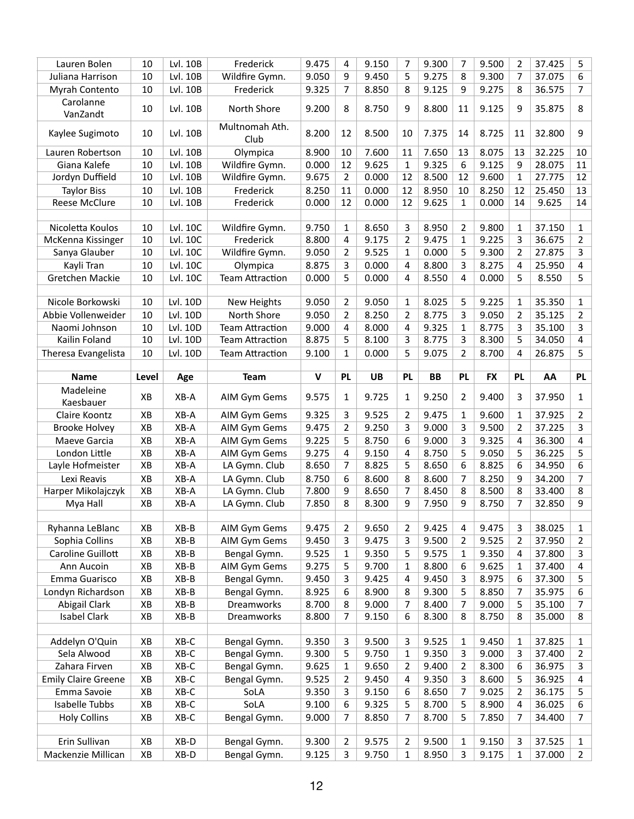| Lauren Bolen<br>Juliana Harrison          | 10       |                |                                |                |                |                |                                |                |                |                |                |                  |                     |
|-------------------------------------------|----------|----------------|--------------------------------|----------------|----------------|----------------|--------------------------------|----------------|----------------|----------------|----------------|------------------|---------------------|
|                                           |          | Lvl. 10B       | Frederick                      | 9.475          | 4              | 9.150          | 7                              | 9.300          | 7              | 9.500          | 2              | 37.425           | 5                   |
|                                           | 10       | Lvl. 10B       | Wildfire Gymn.                 | 9.050          | 9              | 9.450          | 5                              | 9.275          | 8              | 9.300          | 7              | 37.075           | 6                   |
| Myrah Contento                            | 10       | Lvl. 10B       | Frederick                      | 9.325          | 7              | 8.850          | 8                              | 9.125          | 9              | 9.275          | 8              | 36.575           | 7                   |
| Carolanne<br>VanZandt                     | 10       | Lvl. 10B       | North Shore                    | 9.200          | 8              | 8.750          | 9                              | 8.800          | 11             | 9.125          | 9              | 35.875           | 8                   |
| Kaylee Sugimoto                           | 10       | Lvl. 10B       | Multnomah Ath.<br>Club         | 8.200          | 12             | 8.500          | 10                             | 7.375          | 14             | 8.725          | 11             | 32.800           | 9                   |
| Lauren Robertson                          | 10       | Lvl. 10B       | Olympica                       | 8.900          | 10             | 7.600          | 11                             | 7.650          | 13             | 8.075          | 13             | 32.225           | 10                  |
| Giana Kalefe                              | 10       | Lvl. 10B       | Wildfire Gymn.                 | 0.000          | 12             | 9.625          | $\mathbf{1}$                   | 9.325          | 6              | 9.125          | 9              | 28.075           | 11                  |
| Jordyn Duffield                           | 10       | Lvl. 10B       | Wildfire Gymn.                 | 9.675          | $\overline{2}$ | 0.000          | 12                             | 8.500          | 12             | 9.600          | 1              | 27.775           | 12                  |
| <b>Taylor Biss</b>                        | 10       | Lvl. 10B       | Frederick                      | 8.250          | 11             | 0.000          | 12                             | 8.950          | 10             | 8.250          | 12             | 25.450           | 13                  |
| <b>Reese McClure</b>                      | 10       | Lvl. 10B       | Frederick                      | 0.000          | 12             | 0.000          | 12                             | 9.625          | 1              | 0.000          | 14             | 9.625            | 14                  |
|                                           |          |                |                                |                |                |                |                                |                |                |                |                |                  |                     |
| Nicoletta Koulos                          | 10       | Lvl. 10C       | Wildfire Gymn.                 | 9.750          | 1              | 8.650          | 3                              | 8.950          | 2              | 9.800          | 1              | 37.150           | 1                   |
| McKenna Kissinger                         | 10       | Lvl. 10C       | Frederick                      | 8.800          | 4              | 9.175          | $\overline{2}$                 | 9.475          | 1              | 9.225          | 3              | 36.675           | 2                   |
| Sanya Glauber                             | 10       | Lvl. 10C       | Wildfire Gymn.                 | 9.050          | $\overline{2}$ | 9.525          | $\mathbf{1}$                   | 0.000          | 5              | 9.300          | $\overline{2}$ | 27.875           | 3                   |
| Kayli Tran                                | 10       | Lvl. 10C       | Olympica                       | 8.875          | 3              | 0.000          | 4                              | 8.800          | 3              | 8.275          | 4              | 25.950           | 4                   |
| Gretchen Mackie                           | 10       | Lvl. 10C       | <b>Team Attraction</b>         | 0.000          | 5              | 0.000          | 4                              | 8.550          | 4              | 0.000          | 5              | 8.550            | 5                   |
|                                           |          |                |                                |                |                |                |                                |                |                |                |                |                  |                     |
| Nicole Borkowski                          | 10       | Lvl. 10D       | New Heights                    | 9.050          | $\overline{2}$ | 9.050          | $\mathbf{1}$                   | 8.025          | 5              | 9.225          | 1              | 35.350           | 1                   |
| Abbie Vollenweider                        | 10       | Lvl. 10D       | North Shore                    | 9.050          | 2              | 8.250          | $\overline{2}$                 | 8.775          | 3              | 9.050          | 2              | 35.125           | 2                   |
| Naomi Johnson                             | 10       | Lvl. 10D       | <b>Team Attraction</b>         | 9.000          | $\overline{4}$ | 8.000          | 4                              | 9.325          | $\mathbf{1}$   | 8.775          | 3              | 35.100           | 3                   |
| Kailin Foland                             | 10       | Lvl. 10D       | <b>Team Attraction</b>         | 8.875          | 5              | 8.100          | 3                              | 8.775          | 3              | 8.300          | 5              | 34.050           | 4                   |
| Theresa Evangelista                       | 10       | Lvl. 10D       | <b>Team Attraction</b>         | 9.100          | $\mathbf{1}$   | 0.000          | 5                              | 9.075          | 2              | 8.700          | 4              | 26.875           | 5                   |
| <b>Name</b>                               | Level    | Age            | <b>Team</b>                    | $\mathbf v$    | <b>PL</b>      | <b>UB</b>      | <b>PL</b>                      | <b>BB</b>      | <b>PL</b>      | <b>FX</b>      | <b>PL</b>      | AA               | <b>PL</b>           |
|                                           |          |                |                                |                |                |                |                                |                |                |                |                |                  |                     |
| Madeleine<br>Kaesbauer                    | XB       | XB-A           | AIM Gym Gems                   | 9.575          | $\mathbf{1}$   | 9.725          | 1                              | 9.250          | 2              | 9.400          | 3              | 37.950           | $\mathbf{1}$        |
| Claire Koontz                             | XB       | XB-A           | AIM Gym Gems                   | 9.325          | 3              | 9.525          | 2                              | 9.475          | 1              | 9.600          | 1              | 37.925           | 2                   |
| <b>Brooke Holvey</b>                      | XB       | XB-A           | AIM Gym Gems                   | 9.475          | $\overline{2}$ | 9.250          | 3                              | 9.000          | 3              | 9.500          | 2              | 37.225           | 3                   |
| Maeve Garcia                              | XB       | XB-A           | AIM Gym Gems                   | 9.225          | 5              | 8.750          | 6                              | 9.000          | 3              | 9.325          | 4              | 36.300           | 4                   |
| London Little                             | XB       | XB-A           | AIM Gym Gems                   | 9.275          | 4              | 9.150          | 4                              | 8.750          | 5              | 9.050          | 5              | 36.225           | 5                   |
| Layle Hofmeister                          | XB       | XB-A           |                                |                |                |                | 5                              | 8.650          | 6              |                | 6              | 34.950           | 6                   |
|                                           |          |                | LA Gymn. Club                  | 8.650          | 7              | 8.825          |                                |                |                | 8.825          |                |                  |                     |
| Lexi Reavis                               | XB       | XB-A           | LA Gymn. Club                  | 8.750          | 6              | 8.600          | 8                              | 8.600          | 7              | 8.250          | 9              | 34.200           | 7                   |
|                                           |          | XB-A           |                                | 7.800          | 9              | 8.650          | 7                              | 8.450          | 8              | 8.500          | 8              | 33.400           |                     |
| Harper Mikolajczyk<br>Mya Hall            | XB<br>XB | XB-A           | LA Gymn. Club<br>LA Gymn. Club | 7.850          | 8              | 8.300          | 9                              | 7.950          | 9              | 8.750          | 7              | 32.850           | 8<br>9              |
|                                           |          |                |                                |                |                |                |                                |                |                |                |                |                  |                     |
| Ryhanna LeBlanc                           | XB       | $XB-B$         | AIM Gym Gems                   | 9.475          | $\overline{2}$ | 9.650          | 2                              | 9.425          | 4              | 9.475          | 3              | 38.025           | 1                   |
| Sophia Collins                            | XB       | $XB-B$         | AIM Gym Gems                   | 9.450          | 3              | 9.475          | 3                              | 9.500          | 2              | 9.525          | 2              | 37.950           | 2                   |
| Caroline Guillott                         | XB       | $XB-B$         | Bengal Gymn.                   | 9.525          | $\mathbf{1}$   | 9.350          | 5                              | 9.575          | 1              | 9.350          | 4              | 37.800           | 3                   |
| Ann Aucoin                                | XB       | $XB-B$         | AIM Gym Gems                   | 9.275          | 5              | 9.700          | $\mathbf{1}$                   | 8.800          | 6              | 9.625          | 1              | 37.400           | 4                   |
| Emma Guarisco                             | XB       | $XB-B$         | Bengal Gymn.                   | 9.450          | 3              | 9.425          | 4                              | 9.450          | 3              | 8.975          | 6              | 37.300           | 5                   |
| Londyn Richardson                         | XB       | $XB-B$         | Bengal Gymn.                   | 8.925          | 6              | 8.900          | 8                              | 9.300          | 5              | 8.850          | 7              | 35.975           | 6                   |
| <b>Abigail Clark</b>                      | XB       | $XB-B$         | Dreamworks                     | 8.700          | 8              | 9.000          | 7                              | 8.400          | 7              | 9.000          | 5              | 35.100           | 7                   |
| <b>Isabel Clark</b>                       | XB       | $XB-B$         | Dreamworks                     | 8.800          | $\overline{7}$ | 9.150          | 6                              | 8.300          | 8              | 8.750          | 8              | 35.000           | 8                   |
| Addelyn O'Quin                            | XB       | $XB-C$         | Bengal Gymn.                   | 9.350          | 3              | 9.500          | 3                              | 9.525          | $\mathbf{1}$   | 9.450          | 1              | 37.825           | 1                   |
| Sela Alwood                               | XB       | $XB-C$         | Bengal Gymn.                   | 9.300          | 5              | 9.750          | $\mathbf{1}$                   | 9.350          | 3              | 9.000          | 3              | 37.400           | 2                   |
| Zahara Firven                             | XB       | $XB-C$         | Bengal Gymn.                   | 9.625          | 1              | 9.650          | $\overline{2}$                 | 9.400          | 2              | 8.300          | 6              | 36.975           | 3                   |
|                                           |          | $XB-C$         |                                | 9.525          | $\overline{2}$ | 9.450          | 4                              | 9.350          | 3              | 8.600          | 5              | 36.925           |                     |
| <b>Emily Claire Greene</b><br>Emma Savoie | XB<br>XB | $XB-C$         | Bengal Gymn.<br>SoLA           | 9.350          | 3              | 9.150          | 6                              | 8.650          | $\overline{7}$ | 9.025          | 2              | 36.175           | 4<br>5              |
| Isabelle Tubbs                            | XB       | $XB-C$         | SoLA                           | 9.100          | 6              | 9.325          | 5                              | 8.700          | 5              | 8.900          | 4              | 36.025           | 6                   |
| <b>Holy Collins</b>                       | XB       | $XB-C$         | Bengal Gymn.                   | 9.000          | 7              | 8.850          | 7                              | 8.700          | 5              | 7.850          | 7              | 34.400           | 7                   |
|                                           |          |                |                                |                |                |                |                                |                |                |                |                |                  |                     |
| Erin Sullivan<br>Mackenzie Millican       | XB<br>XB | XB-D<br>$XB-D$ | Bengal Gymn.<br>Bengal Gymn.   | 9.300<br>9.125 | 2<br>3         | 9.575<br>9.750 | $\overline{2}$<br>$\mathbf{1}$ | 9.500<br>8.950 | 1<br>3         | 9.150<br>9.175 | 3<br>1         | 37.525<br>37.000 | 1<br>$\overline{2}$ |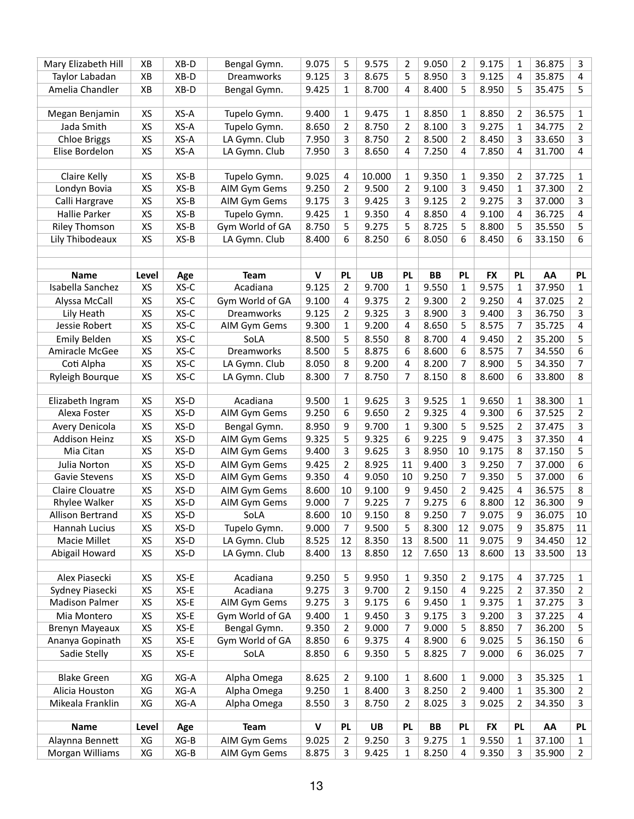| Mary Elizabeth Hill     | XB        | $XB-D$ | Bengal Gymn.    | 9.075       | 5                   | 9.575     | $\overline{2}$ | 9.050     | $\overline{2}$ | 9.175     | 1              | 36.875 | 3              |
|-------------------------|-----------|--------|-----------------|-------------|---------------------|-----------|----------------|-----------|----------------|-----------|----------------|--------|----------------|
| Taylor Labadan          | XB        | XB-D   | Dreamworks      | 9.125       | 3                   | 8.675     | 5              | 8.950     | 3              | 9.125     | 4              | 35.875 | 4              |
| Amelia Chandler         | XB        | XB-D   | Bengal Gymn.    | 9.425       | $\mathbf{1}$        | 8.700     | 4              | 8.400     | 5              | 8.950     | 5              | 35.475 | 5              |
|                         |           |        |                 |             |                     |           |                |           |                |           |                |        |                |
| Megan Benjamin          | XS        | XS-A   | Tupelo Gymn.    | 9.400       | 1                   | 9.475     | 1              | 8.850     | 1              | 8.850     | 2              | 36.575 | $\mathbf{1}$   |
| Jada Smith              | XS        | XS-A   | Tupelo Gymn.    | 8.650       | $\overline{2}$      | 8.750     | $\overline{2}$ | 8.100     | 3              | 9.275     | 1              | 34.775 | $\overline{2}$ |
| <b>Chloe Briggs</b>     | XS        | XS-A   | LA Gymn. Club   | 7.950       | 3                   | 8.750     | $\overline{2}$ | 8.500     | 2              | 8.450     | 3              | 33.650 | 3              |
| Elise Bordelon          | XS        | XS-A   | LA Gymn. Club   | 7.950       | 3                   | 8.650     | $\overline{a}$ | 7.250     | 4              | 7.850     | 4              | 31.700 | 4              |
|                         |           |        |                 |             |                     |           |                |           |                |           |                |        |                |
| Claire Kelly            | XS        | $XS-B$ | Tupelo Gymn.    | 9.025       | 4                   | 10.000    | 1              | 9.350     | 1              | 9.350     | 2              | 37.725 | $\mathbf{1}$   |
| Londyn Bovia            | XS        | $XS-B$ | AIM Gym Gems    | 9.250       | $\overline{2}$      | 9.500     | $\overline{2}$ | 9.100     | 3              | 9.450     | 1              | 37.300 | $\overline{2}$ |
| Calli Hargrave          | XS        | $XS-B$ | AIM Gym Gems    | 9.175       | 3                   | 9.425     | 3              | 9.125     | $\overline{2}$ | 9.275     | 3              | 37.000 | 3              |
| <b>Hallie Parker</b>    | XS        | $XS-B$ | Tupelo Gymn.    | 9.425       | 1                   | 9.350     | 4              | 8.850     | 4              | 9.100     | 4              | 36.725 | 4              |
| <b>Riley Thomson</b>    | XS        | $XS-B$ | Gym World of GA | 8.750       | 5                   | 9.275     | 5              | 8.725     | 5              | 8.800     | 5              | 35.550 | 5              |
| Lily Thibodeaux         | XS        | $XS-B$ | LA Gymn. Club   | 8.400       | 6                   | 8.250     | 6              | 8.050     | 6              | 8.450     | 6              | 33.150 | 6              |
|                         |           |        |                 |             |                     |           |                |           |                |           |                |        |                |
| <b>Name</b>             | Level     | Age    | <b>Team</b>     | $\mathbf v$ | <b>PL</b>           | <b>UB</b> | <b>PL</b>      | <b>BB</b> | <b>PL</b>      | <b>FX</b> | <b>PL</b>      | AA     | <b>PL</b>      |
| Isabella Sanchez        | <b>XS</b> | $XS-C$ | Acadiana        | 9.125       | $\overline{2}$      | 9.700     | 1              | 9.550     | 1              | 9.575     | 1              | 37.950 | $\mathbf{1}$   |
| Alyssa McCall           | XS        | XS-C   | Gym World of GA | 9.100       | 4                   | 9.375     | 2              | 9.300     | 2              | 9.250     | 4              | 37.025 | $\overline{2}$ |
| Lily Heath              | XS        | $XS-C$ | Dreamworks      | 9.125       | $\overline{2}$      | 9.325     | 3              | 8.900     | 3              | 9.400     | 3              | 36.750 | 3              |
| Jessie Robert           | XS        | $XS-C$ | AIM Gym Gems    | 9.300       | 1                   | 9.200     | 4              | 8.650     | 5              | 8.575     | 7              | 35.725 | 4              |
| <b>Emily Belden</b>     | XS        | $XS-C$ | SoLA            | 8.500       | 5                   | 8.550     | 8              | 8.700     | 4              | 9.450     | 2              | 35.200 | 5              |
| Amiracle McGee          | XS        | $XS-C$ | Dreamworks      | 8.500       | 5                   | 8.875     | 6              | 8.600     | 6              | 8.575     | 7              | 34.550 | 6              |
| Coti Alpha              | XS        | XS-C   | LA Gymn. Club   | 8.050       | 8                   | 9.200     | 4              | 8.200     | 7              | 8.900     | 5              | 34.350 | 7              |
| Ryleigh Bourque         | XS        | $XS-C$ | LA Gymn. Club   | 8.300       | $\overline{7}$      | 8.750     | 7              | 8.150     | 8              | 8.600     | 6              | 33.800 | 8              |
|                         |           |        |                 |             |                     |           |                |           |                |           |                |        |                |
| Elizabeth Ingram        | XS        | XS-D   | Acadiana        | 9.500       | $\mathbf{1}$        | 9.625     | 3              | 9.525     | 1              | 9.650     | 1              | 38.300 | $\mathbf{1}$   |
| Alexa Foster            | XS        | XS-D   | AIM Gym Gems    | 9.250       | 6                   | 9.650     | $\overline{2}$ | 9.325     | 4              | 9.300     | 6              | 37.525 | $\overline{2}$ |
| Avery Denicola          | XS        | XS-D   | Bengal Gymn.    | 8.950       | 9                   | 9.700     | 1              | 9.300     | 5              | 9.525     | 2              | 37.475 | 3              |
| <b>Addison Heinz</b>    | XS        | XS-D   | AIM Gym Gems    | 9.325       | 5                   | 9.325     | 6              | 9.225     | 9              | 9.475     | 3              | 37.350 | 4              |
| Mia Citan               | XS        | XS-D   | AIM Gym Gems    | 9.400       | 3                   | 9.625     | 3              | 8.950     | 10             | 9.175     | 8              | 37.150 | 5              |
| Julia Norton            | XS        | XS-D   | AIM Gym Gems    | 9.425       | $\overline{2}$      | 8.925     | 11             | 9.400     | 3              | 9.250     | 7              | 37.000 | 6              |
| <b>Gavie Stevens</b>    | XS        | XS-D   | AIM Gym Gems    | 9.350       | 4                   | 9.050     | 10             | 9.250     | 7              | 9.350     | 5              | 37.000 | 6              |
| <b>Claire Clouatre</b>  | XS        | XS-D   | AIM Gym Gems    | 8.600       | 10                  | 9.100     | 9              | 9.450     | $\overline{2}$ | 9.425     | 4              | 36.575 | 8              |
| Rhylee Walker           | XS        | XS-D   | AIM Gym Gems    | 9.000       | $\overline{7}$      | 9.225     | $\overline{7}$ | 9.275     | 6              | 8.800     | 12             | 36.300 | 9              |
| <b>Allison Bertrand</b> | XS        | XS-D   | SoLA            | 8.600       | 10                  | 9.150     | 8              | 9.250     | 7              | 9.075     | 9              | 36.075 | 10             |
| Hannah Lucius           | XS        | XS-D   | Tupelo Gymn.    | 9.000       | $\overline{7}$      | 9.500     | 5              | 8.300     | 12             | 9.075     | 9              | 35.875 | 11             |
| Macie Millet            | XS        | $XS-D$ | LA Gymn. Club   | 8.525       | 12                  | 8.350     | 13             | 8.500     | 11             | 9.075     | 9              | 34.450 | 12             |
| Abigail Howard          | XS        | XS-D   | LA Gymn. Club   | 8.400       | 13                  | 8.850     | 12             | 7.650     | 13             | 8.600     | 13             | 33.500 | 13             |
|                         |           |        |                 |             |                     |           |                |           |                |           |                |        |                |
| Alex Piasecki           | XS        | XS-E   | Acadiana        | 9.250       | 5                   | 9.950     | $\mathbf{1}$   | 9.350     | $\overline{2}$ | 9.175     | 4              | 37.725 | $\mathbf 1$    |
| Sydney Piasecki         | XS        | XS-E   | Acadiana        | 9.275       | 3                   | 9.700     | $\overline{2}$ | 9.150     | 4              | 9.225     | $\overline{2}$ | 37.350 | $\overline{2}$ |
| <b>Madison Palmer</b>   | XS        | $XS-E$ | AIM Gym Gems    | 9.275       | 3                   | 9.175     | 6              | 9.450     | 1              | 9.375     | 1              | 37.275 | 3              |
| Mia Montero             | XS        | XS-E   | Gym World of GA | 9.400       | $\mathbf{1}$        | 9.450     | 3              | 9.175     | 3              | 9.200     | 3              | 37.225 | 4              |
| Brenyn Mayeaux          | XS<br>XS  | XS-E   | Bengal Gymn.    | 9.350       | $\overline{2}$<br>6 | 9.000     | $\overline{7}$ | 9.000     | 5              | 8.850     | 7              | 36.200 | 5              |
| Ananya Gopinath         |           | XS-E   | Gym World of GA | 8.850       |                     | 9.375     | 4              | 8.900     | 6              | 9.025     | 5              | 36.150 | 6              |
| Sadie Stelly            | XS        | XS-E   | SoLA            | 8.850       | 6                   | 9.350     | 5              | 8.825     | 7              | 9.000     | 6              | 36.025 | $\overline{7}$ |
| <b>Blake Green</b>      | XG        | XG-A   | Alpha Omega     | 8.625       | $\overline{2}$      | 9.100     | $\mathbf{1}$   | 8.600     | 1              | 9.000     | 3              | 35.325 | $\mathbf{1}$   |
| Alicia Houston          | XG        | XG-A   | Alpha Omega     | 9.250       | $\mathbf{1}$        | 8.400     | 3              | 8.250     | $\overline{2}$ | 9.400     | 1              | 35.300 | $\overline{2}$ |
| Mikeala Franklin        | XG        | XG-A   | Alpha Omega     | 8.550       | 3                   | 8.750     | $\overline{2}$ | 8.025     | 3              | 9.025     | $\overline{2}$ | 34.350 | 3              |
|                         |           |        |                 |             |                     |           |                |           |                |           |                |        |                |
| <b>Name</b>             | Level     | Age    | <b>Team</b>     | $\mathbf v$ | <b>PL</b>           | <b>UB</b> | <b>PL</b>      | BB        | PL             | <b>FX</b> | <b>PL</b>      | AA     | <b>PL</b>      |
| Alaynna Bennett         | XG        | $XG-B$ | AIM Gym Gems    | 9.025       | $\overline{2}$      | 9.250     | 3              | 9.275     | 1              | 9.550     | 1              | 37.100 | $\mathbf{1}$   |
| Morgan Williams         | XG        | $XG-B$ | AIM Gym Gems    | 8.875       | 3                   | 9.425     | $\mathbf{1}$   | 8.250     | 4              | 9.350     | 3              | 35.900 | $2^{\circ}$    |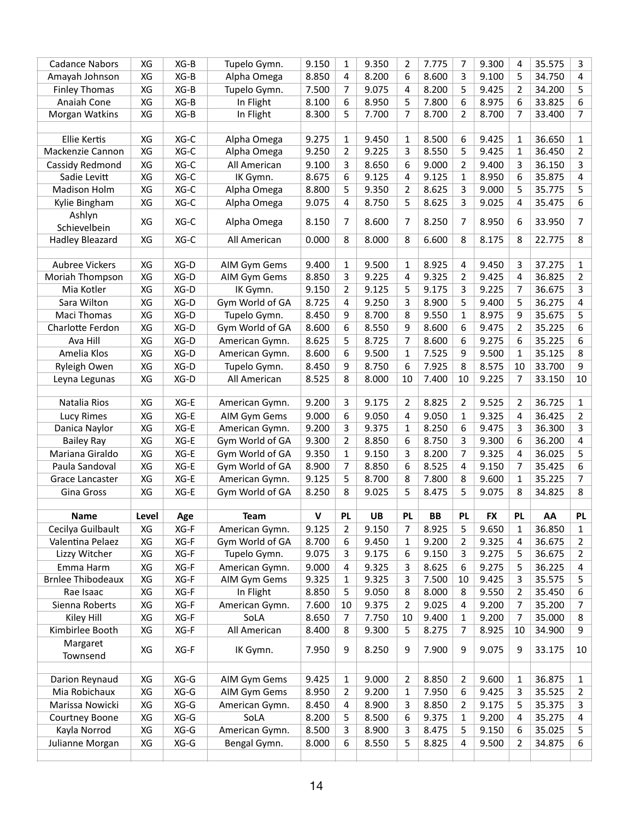| <b>Cadance Nabors</b>    | XG    | $XG-B$ | Tupelo Gymn.    | 9.150        | 1              | 9.350 | 2              | 7.775     | 7              | 9.300     | 4         | 35.575 | 3            |
|--------------------------|-------|--------|-----------------|--------------|----------------|-------|----------------|-----------|----------------|-----------|-----------|--------|--------------|
| Amayah Johnson           | XG    | $XG-B$ | Alpha Omega     | 8.850        | 4              | 8.200 | 6              | 8.600     | 3              | 9.100     | 5         | 34.750 | 4            |
| <b>Finley Thomas</b>     | XG    | $XG-B$ | Tupelo Gymn.    | 7.500        | 7              | 9.075 | 4              | 8.200     | 5              | 9.425     | 2         | 34.200 | 5            |
| Anaiah Cone              | XG    | $XG-B$ | In Flight       | 8.100        | 6              | 8.950 | 5              | 7.800     | 6              | 8.975     | 6         | 33.825 | 6            |
| Morgan Watkins           | XG    | $XG-B$ | In Flight       | 8.300        | 5              | 7.700 | 7              | 8.700     | 2              | 8.700     | 7         | 33.400 | 7            |
|                          |       |        |                 |              |                |       |                |           |                |           |           |        |              |
| <b>Ellie Kertis</b>      | XG    | XG-C   | Alpha Omega     | 9.275        | $\mathbf{1}$   | 9.450 | $\mathbf{1}$   | 8.500     | 6              | 9.425     | 1         | 36.650 | $\mathbf{1}$ |
| Mackenzie Cannon         | XG    | XG-C   | Alpha Omega     | 9.250        | $\overline{2}$ | 9.225 | 3              | 8.550     | 5              | 9.425     | 1         | 36.450 | 2            |
| Cassidy Redmond          | XG    | XG-C   | All American    | 9.100        | 3              | 8.650 | 6              | 9.000     | 2              | 9.400     | 3         | 36.150 | 3            |
| Sadie Levitt             | XG    | XG-C   | IK Gymn.        | 8.675        | 6              | 9.125 | 4              | 9.125     | 1              | 8.950     | 6         | 35.875 | 4            |
| <b>Madison Holm</b>      | XG    | XG-C   | Alpha Omega     | 8.800        | 5              | 9.350 | $\overline{2}$ | 8.625     | 3              | 9.000     | 5         | 35.775 | 5            |
| Kylie Bingham            | XG    | XG-C   | Alpha Omega     | 9.075        | 4              | 8.750 | 5              | 8.625     | 3              | 9.025     | 4         | 35.475 | 6            |
| Ashlyn                   |       |        |                 |              |                |       |                |           |                |           |           |        |              |
| Schievelbein             | XG    | XG-C   | Alpha Omega     | 8.150        | 7              | 8.600 | 7              | 8.250     | 7              | 8.950     | 6         | 33.950 | 7            |
| <b>Hadley Bleazard</b>   | XG    | XG-C   | All American    | 0.000        | 8              | 8.000 | 8              | 6.600     | 8              | 8.175     | 8         | 22.775 | 8            |
|                          |       |        |                 |              |                |       |                |           |                |           |           |        |              |
| <b>Aubree Vickers</b>    | XG    | XG-D   | AIM Gym Gems    | 9.400        | $\mathbf{1}$   | 9.500 | $\mathbf{1}$   | 8.925     | 4              | 9.450     | 3         | 37.275 | 1            |
| <b>Moriah Thompson</b>   | XG    | XG-D   | AIM Gym Gems    | 8.850        | 3              | 9.225 | 4              | 9.325     | $\overline{2}$ | 9.425     | 4         | 36.825 | 2            |
| Mia Kotler               | XG    | XG-D   | IK Gymn.        | 9.150        | 2              | 9.125 | 5              | 9.175     | 3              | 9.225     | 7         | 36.675 | 3            |
| Sara Wilton              | XG    | XG-D   | Gym World of GA | 8.725        | 4              | 9.250 | 3              | 8.900     | 5              | 9.400     | 5         | 36.275 | 4            |
| Maci Thomas              | XG    | XG-D   | Tupelo Gymn.    | 8.450        | 9              | 8.700 | 8              | 9.550     | 1              | 8.975     | 9         | 35.675 | 5            |
| Charlotte Ferdon         | XG    | XG-D   | Gym World of GA | 8.600        | 6              | 8.550 | 9              | 8.600     | 6              | 9.475     | 2         | 35.225 | 6            |
| Ava Hill                 | XG    | XG-D   | American Gymn.  | 8.625        | 5              | 8.725 | 7              | 8.600     | 6              | 9.275     | 6         | 35.225 | 6            |
| Amelia Klos              | XG    | XG-D   | American Gymn.  | 8.600        | 6              | 9.500 | $\mathbf{1}$   | 7.525     | 9              | 9.500     | 1         | 35.125 | 8            |
| Ryleigh Owen             | XG    | XG-D   | Tupelo Gymn.    | 8.450        | 9              | 8.750 | 6              | 7.925     | 8              | 8.575     | 10        | 33.700 | 9            |
| Leyna Legunas            | XG    | XG-D   | All American    | 8.525        | 8              | 8.000 | 10             | 7.400     | 10             | 9.225     | 7         | 33.150 | 10           |
|                          |       |        |                 |              |                |       |                |           |                |           |           |        |              |
| Natalia Rios             | XG    | XG-E   | American Gymn.  | 9.200        | 3              | 9.175 | 2              | 8.825     | 2              | 9.525     | 2         | 36.725 | 1            |
| Lucy Rimes               | XG    | XG-E   | AIM Gym Gems    | 9.000        | 6              | 9.050 | 4              | 9.050     | 1              | 9.325     | 4         | 36.425 | 2            |
| Danica Naylor            |       |        |                 |              |                |       | $\mathbf{1}$   | 8.250     | 6              | 9.475     |           | 36.300 | 3            |
|                          | XG    | XG-E   | American Gymn.  | 9.200        | 3              | 9.375 |                |           |                |           | 3         |        |              |
| <b>Bailey Ray</b>        | XG    | XG-E   | Gym World of GA | 9.300        | $\overline{2}$ | 8.850 | 6              | 8.750     | 3              | 9.300     | 6         | 36.200 | 4            |
| Mariana Giraldo          | XG    | XG-E   | Gym World of GA | 9.350        | 1              | 9.150 | 3              | 8.200     | 7              | 9.325     | 4         | 36.025 | 5            |
| Paula Sandoval           | XG    | XG-E   | Gym World of GA | 8.900        | 7              | 8.850 | 6              | 8.525     | 4              | 9.150     | 7         | 35.425 | 6            |
| Grace Lancaster          | XG    | XG-E   | American Gymn.  | 9.125        | 5              | 8.700 | 8              | 7.800     | 8              | 9.600     | 1         | 35.225 | 7            |
| Gina Gross               | XG    | XG-E   | Gym World of GA | 8.250        | 8              | 9.025 | 5              | 8.475     | 5              | 9.075     | 8         | 34.825 | 8            |
|                          |       |        |                 |              |                |       |                |           |                |           |           |        |              |
| <b>Name</b>              | Level | Age    | <b>Team</b>     | $\mathsf{V}$ | <b>PL</b>      | UB    | <b>PL</b>      | <b>BB</b> | <b>PL</b>      | <b>FX</b> | <b>PL</b> | AA     | <b>PL</b>    |
| Cecilya Guilbault        | XG    | XG-F   | American Gymn.  | 9.125        | 2              | 9.150 | 7              | 8.925     | 5              | 9.650     | 1         | 36.850 | 1            |
| Valentina Pelaez         | XG    | XG-F   | Gym World of GA | 8.700        | 6              | 9.450 | $\mathbf{1}$   | 9.200     | 2              | 9.325     | 4         | 36.675 | 2            |
| Lizzy Witcher            | XG    | XG-F   | Tupelo Gymn.    | 9.075        | 3              | 9.175 | 6              | 9.150     | 3              | 9.275     | 5         | 36.675 | 2            |
| Emma Harm                | XG    | XG-F   | American Gymn.  | 9.000        | 4              | 9.325 | 3              | 8.625     | 6              | 9.275     | 5         | 36.225 | 4            |
| <b>Brnlee Thibodeaux</b> | XG    | XG-F   | AIM Gym Gems    | 9.325        | $\mathbf{1}$   | 9.325 | 3              | 7.500     | 10             | 9.425     | 3         | 35.575 | 5            |
| Rae Isaac                | XG    | XG-F   | In Flight       | 8.850        | 5              | 9.050 | 8              | 8.000     | 8              | 9.550     | 2         | 35.450 | 6            |
| Sienna Roberts           | XG    | XG-F   | American Gymn.  | 7.600        | 10             | 9.375 | $\overline{2}$ | 9.025     | 4              | 9.200     | 7         | 35.200 | 7            |
| Kiley Hill               | XG    | XG-F   | SoLA            | 8.650        | $\overline{7}$ | 7.750 | 10             | 9.400     | 1              | 9.200     | 7         | 35.000 | 8            |
| Kimbirlee Booth          | XG    | XG-F   | All American    | 8.400        | 8              | 9.300 | 5              | 8.275     | 7              | 8.925     | 10        | 34.900 | 9            |
| Margaret                 |       |        |                 |              |                |       |                |           |                |           |           |        |              |
| Townsend                 | XG    | XG-F   | IK Gymn.        | 7.950        | 9              | 8.250 | 9              | 7.900     | 9              | 9.075     | 9         | 33.175 | 10           |
|                          |       |        |                 |              |                |       |                |           |                |           |           |        |              |
| Darion Reynaud           | XG    | $XG-G$ | AIM Gym Gems    | 9.425        | 1              | 9.000 | 2              | 8.850     | 2              | 9.600     | 1         | 36.875 | 1            |
| Mia Robichaux            | XG    | $XG-G$ | AIM Gym Gems    | 8.950        | $\overline{2}$ | 9.200 | 1              | 7.950     | 6              | 9.425     | 3         | 35.525 | 2            |
| Marissa Nowicki          | XG    | $XG-G$ | American Gymn.  | 8.450        | $\overline{4}$ | 8.900 | 3              | 8.850     | 2              | 9.175     | 5         | 35.375 | 3            |
| Courtney Boone           | XG    | $XG-G$ | SoLA            | 8.200        | 5              | 8.500 | 6              | 9.375     | $\mathbf 1$    | 9.200     | 4         | 35.275 | 4            |
| Kayla Norrod             | XG    | $XG-G$ | American Gymn.  | 8.500        | 3              | 8.900 | 3              | 8.475     | 5              | 9.150     | 6         | 35.025 | 5            |
| Julianne Morgan          | XG    | $XG-G$ | Bengal Gymn.    | 8.000        | 6              | 8.550 | 5              | 8.825     | 4              | 9.500     | 2         | 34.875 | 6            |